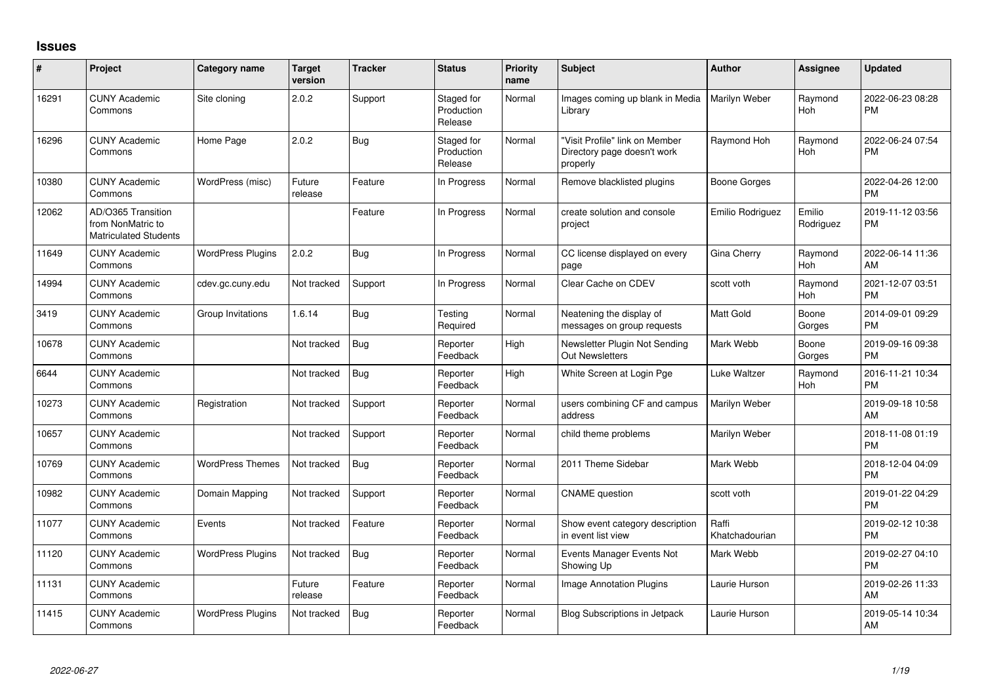## **Issues**

| ∦     | Project                                                                 | <b>Category name</b>     | <b>Target</b><br>version | <b>Tracker</b> | <b>Status</b>                       | <b>Priority</b><br>name | Subject                                                                   | <b>Author</b>           | <b>Assignee</b>     | <b>Updated</b>                |
|-------|-------------------------------------------------------------------------|--------------------------|--------------------------|----------------|-------------------------------------|-------------------------|---------------------------------------------------------------------------|-------------------------|---------------------|-------------------------------|
| 16291 | <b>CUNY Academic</b><br>Commons                                         | Site cloning             | 2.0.2                    | Support        | Staged for<br>Production<br>Release | Normal                  | Images coming up blank in Media<br>Library                                | Marilyn Weber           | Raymond<br>Hoh      | 2022-06-23 08:28<br><b>PM</b> |
| 16296 | <b>CUNY Academic</b><br>Commons                                         | Home Page                | 2.0.2                    | Bug            | Staged for<br>Production<br>Release | Normal                  | 'Visit Profile" link on Member<br>Directory page doesn't work<br>properly | Raymond Hoh             | Raymond<br>Hoh      | 2022-06-24 07:54<br><b>PM</b> |
| 10380 | <b>CUNY Academic</b><br>Commons                                         | WordPress (misc)         | Future<br>release        | Feature        | In Progress                         | Normal                  | Remove blacklisted plugins                                                | Boone Gorges            |                     | 2022-04-26 12:00<br><b>PM</b> |
| 12062 | AD/O365 Transition<br>from NonMatric to<br><b>Matriculated Students</b> |                          |                          | Feature        | In Progress                         | Normal                  | create solution and console<br>project                                    | Emilio Rodriguez        | Emilio<br>Rodriguez | 2019-11-12 03:56<br><b>PM</b> |
| 11649 | <b>CUNY Academic</b><br>Commons                                         | <b>WordPress Plugins</b> | 2.0.2                    | Bug            | In Progress                         | Normal                  | CC license displayed on every<br>page                                     | <b>Gina Cherry</b>      | Raymond<br>Hoh      | 2022-06-14 11:36<br>AM        |
| 14994 | <b>CUNY Academic</b><br>Commons                                         | cdev.gc.cuny.edu         | Not tracked              | Support        | In Progress                         | Normal                  | Clear Cache on CDEV                                                       | scott voth              | Raymond<br>Hoh      | 2021-12-07 03:51<br><b>PM</b> |
| 3419  | <b>CUNY Academic</b><br>Commons                                         | Group Invitations        | 1.6.14                   | Bug            | Testing<br>Required                 | Normal                  | Neatening the display of<br>messages on group requests                    | <b>Matt Gold</b>        | Boone<br>Gorges     | 2014-09-01 09:29<br><b>PM</b> |
| 10678 | <b>CUNY Academic</b><br>Commons                                         |                          | Not tracked              | Bug            | Reporter<br>Feedback                | High                    | Newsletter Plugin Not Sending<br><b>Out Newsletters</b>                   | Mark Webb               | Boone<br>Gorges     | 2019-09-16 09:38<br><b>PM</b> |
| 6644  | <b>CUNY Academic</b><br>Commons                                         |                          | Not tracked              | <b>Bug</b>     | Reporter<br>Feedback                | High                    | White Screen at Login Pge                                                 | Luke Waltzer            | Raymond<br>Hoh      | 2016-11-21 10:34<br><b>PM</b> |
| 10273 | <b>CUNY Academic</b><br>Commons                                         | Registration             | Not tracked              | Support        | Reporter<br>Feedback                | Normal                  | users combining CF and campus<br>address                                  | Marilyn Weber           |                     | 2019-09-18 10:58<br>AM        |
| 10657 | <b>CUNY Academic</b><br>Commons                                         |                          | Not tracked              | Support        | Reporter<br>Feedback                | Normal                  | child theme problems                                                      | Marilyn Weber           |                     | 2018-11-08 01:19<br><b>PM</b> |
| 10769 | <b>CUNY Academic</b><br>Commons                                         | <b>WordPress Themes</b>  | Not tracked              | Bug            | Reporter<br>Feedback                | Normal                  | 2011 Theme Sidebar                                                        | Mark Webb               |                     | 2018-12-04 04:09<br><b>PM</b> |
| 10982 | <b>CUNY Academic</b><br>Commons                                         | Domain Mapping           | Not tracked              | Support        | Reporter<br>Feedback                | Normal                  | <b>CNAME</b> question                                                     | scott voth              |                     | 2019-01-22 04:29<br><b>PM</b> |
| 11077 | <b>CUNY Academic</b><br>Commons                                         | Events                   | Not tracked              | Feature        | Reporter<br>Feedback                | Normal                  | Show event category description<br>in event list view                     | Raffi<br>Khatchadourian |                     | 2019-02-12 10:38<br><b>PM</b> |
| 11120 | <b>CUNY Academic</b><br>Commons                                         | <b>WordPress Plugins</b> | Not tracked              | Bug            | Reporter<br>Feedback                | Normal                  | Events Manager Events Not<br>Showing Up                                   | Mark Webb               |                     | 2019-02-27 04:10<br><b>PM</b> |
| 11131 | <b>CUNY Academic</b><br>Commons                                         |                          | Future<br>release        | Feature        | Reporter<br>Feedback                | Normal                  | <b>Image Annotation Plugins</b>                                           | Laurie Hurson           |                     | 2019-02-26 11:33<br>AM        |
| 11415 | <b>CUNY Academic</b><br>Commons                                         | <b>WordPress Plugins</b> | Not tracked              | Bug            | Reporter<br>Feedback                | Normal                  | <b>Blog Subscriptions in Jetpack</b>                                      | Laurie Hurson           |                     | 2019-05-14 10:34<br>AM        |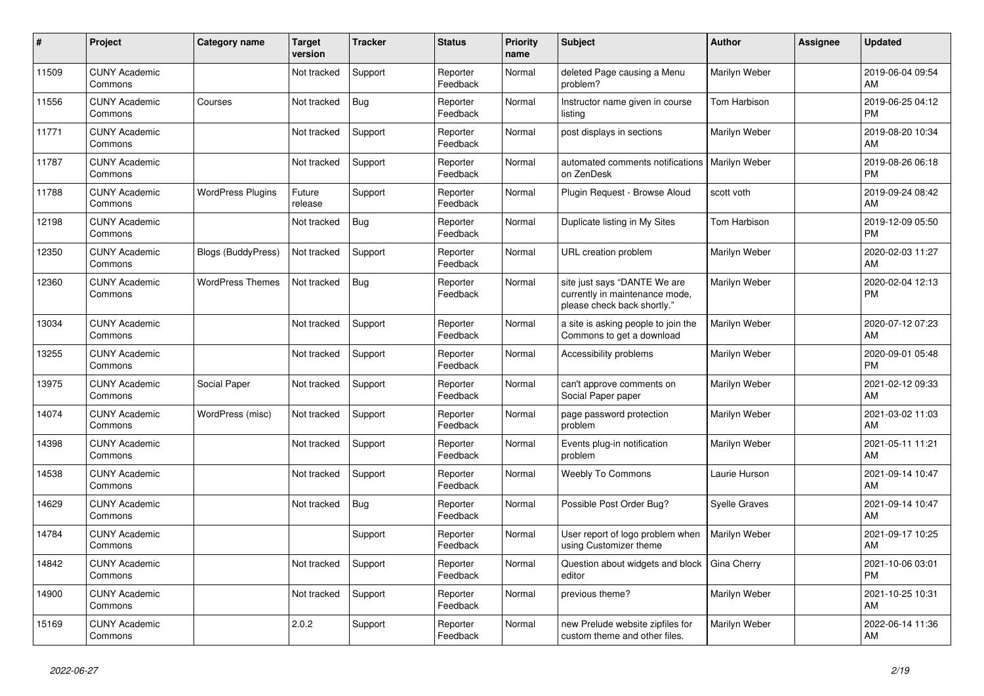| #     | Project                         | <b>Category name</b>      | <b>Target</b><br>version | <b>Tracker</b> | <b>Status</b>        | <b>Priority</b><br>name | <b>Subject</b>                                                                                | <b>Author</b>        | <b>Assignee</b> | <b>Updated</b>                |
|-------|---------------------------------|---------------------------|--------------------------|----------------|----------------------|-------------------------|-----------------------------------------------------------------------------------------------|----------------------|-----------------|-------------------------------|
| 11509 | <b>CUNY Academic</b><br>Commons |                           | Not tracked              | Support        | Reporter<br>Feedback | Normal                  | deleted Page causing a Menu<br>problem?                                                       | Marilyn Weber        |                 | 2019-06-04 09:54<br>AM        |
| 11556 | <b>CUNY Academic</b><br>Commons | Courses                   | Not tracked              | Bug            | Reporter<br>Feedback | Normal                  | Instructor name given in course<br>listing                                                    | Tom Harbison         |                 | 2019-06-25 04:12<br><b>PM</b> |
| 11771 | <b>CUNY Academic</b><br>Commons |                           | Not tracked              | Support        | Reporter<br>Feedback | Normal                  | post displays in sections                                                                     | Marilyn Weber        |                 | 2019-08-20 10:34<br>AM        |
| 11787 | <b>CUNY Academic</b><br>Commons |                           | Not tracked              | Support        | Reporter<br>Feedback | Normal                  | automated comments notifications   Marilyn Weber<br>on ZenDesk                                |                      |                 | 2019-08-26 06:18<br><b>PM</b> |
| 11788 | <b>CUNY Academic</b><br>Commons | <b>WordPress Plugins</b>  | Future<br>release        | Support        | Reporter<br>Feedback | Normal                  | Plugin Request - Browse Aloud                                                                 | scott voth           |                 | 2019-09-24 08:42<br>AM        |
| 12198 | <b>CUNY Academic</b><br>Commons |                           | Not tracked              | <b>Bug</b>     | Reporter<br>Feedback | Normal                  | Duplicate listing in My Sites                                                                 | Tom Harbison         |                 | 2019-12-09 05:50<br><b>PM</b> |
| 12350 | <b>CUNY Academic</b><br>Commons | <b>Blogs (BuddyPress)</b> | Not tracked              | Support        | Reporter<br>Feedback | Normal                  | <b>URL</b> creation problem                                                                   | Marilyn Weber        |                 | 2020-02-03 11:27<br>AM        |
| 12360 | <b>CUNY Academic</b><br>Commons | <b>WordPress Themes</b>   | Not tracked              | <b>Bug</b>     | Reporter<br>Feedback | Normal                  | site just says "DANTE We are<br>currently in maintenance mode,<br>please check back shortly." | Marilyn Weber        |                 | 2020-02-04 12:13<br><b>PM</b> |
| 13034 | <b>CUNY Academic</b><br>Commons |                           | Not tracked              | Support        | Reporter<br>Feedback | Normal                  | a site is asking people to join the<br>Commons to get a download                              | Marilyn Weber        |                 | 2020-07-12 07:23<br>AM        |
| 13255 | <b>CUNY Academic</b><br>Commons |                           | Not tracked              | Support        | Reporter<br>Feedback | Normal                  | Accessibility problems                                                                        | Marilyn Weber        |                 | 2020-09-01 05:48<br><b>PM</b> |
| 13975 | <b>CUNY Academic</b><br>Commons | Social Paper              | Not tracked              | Support        | Reporter<br>Feedback | Normal                  | can't approve comments on<br>Social Paper paper                                               | Marilyn Weber        |                 | 2021-02-12 09:33<br>AM        |
| 14074 | <b>CUNY Academic</b><br>Commons | WordPress (misc)          | Not tracked              | Support        | Reporter<br>Feedback | Normal                  | page password protection<br>problem                                                           | Marilyn Weber        |                 | 2021-03-02 11:03<br>AM        |
| 14398 | <b>CUNY Academic</b><br>Commons |                           | Not tracked              | Support        | Reporter<br>Feedback | Normal                  | Events plug-in notification<br>problem                                                        | Marilyn Weber        |                 | 2021-05-11 11:21<br>AM        |
| 14538 | <b>CUNY Academic</b><br>Commons |                           | Not tracked              | Support        | Reporter<br>Feedback | Normal                  | <b>Weebly To Commons</b>                                                                      | Laurie Hurson        |                 | 2021-09-14 10:47<br>AM        |
| 14629 | <b>CUNY Academic</b><br>Commons |                           | Not tracked              | Bug            | Reporter<br>Feedback | Normal                  | Possible Post Order Bug?                                                                      | <b>Syelle Graves</b> |                 | 2021-09-14 10:47<br>AM        |
| 14784 | <b>CUNY Academic</b><br>Commons |                           |                          | Support        | Reporter<br>Feedback | Normal                  | User report of logo problem when<br>using Customizer theme                                    | Marilyn Weber        |                 | 2021-09-17 10:25<br>AM        |
| 14842 | <b>CUNY Academic</b><br>Commons |                           | Not tracked              | Support        | Reporter<br>Feedback | Normal                  | Question about widgets and block<br>editor                                                    | Gina Cherry          |                 | 2021-10-06 03:01<br><b>PM</b> |
| 14900 | <b>CUNY Academic</b><br>Commons |                           | Not tracked              | Support        | Reporter<br>Feedback | Normal                  | previous theme?                                                                               | Marilyn Weber        |                 | 2021-10-25 10:31<br>AM        |
| 15169 | <b>CUNY Academic</b><br>Commons |                           | 2.0.2                    | Support        | Reporter<br>Feedback | Normal                  | new Prelude website zipfiles for<br>custom theme and other files.                             | Marilyn Weber        |                 | 2022-06-14 11:36<br>AM        |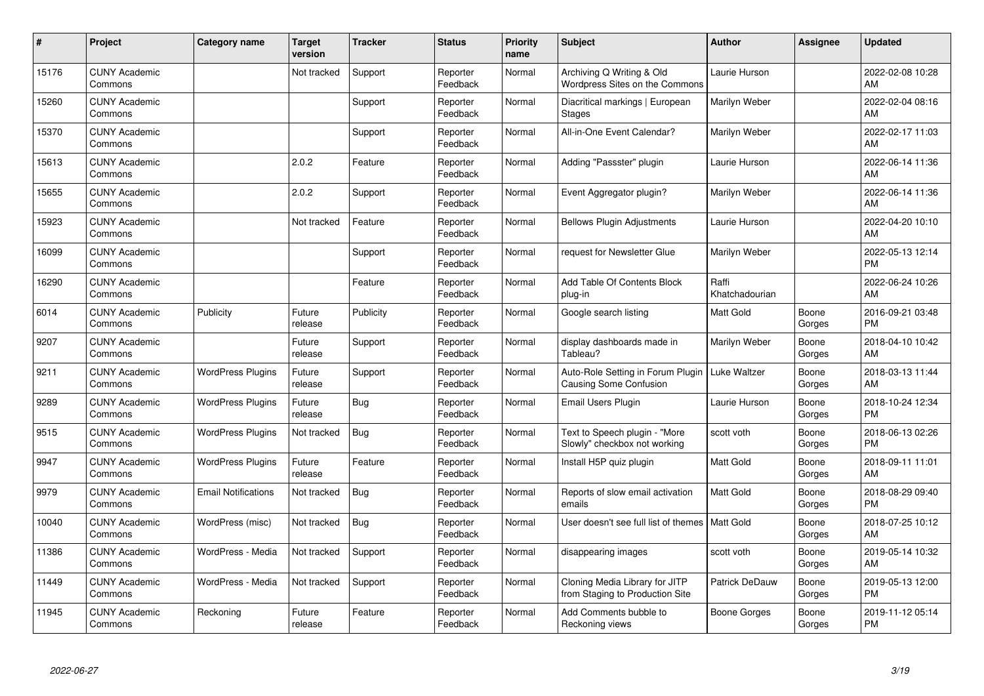| #     | Project                         | <b>Category name</b>       | <b>Target</b><br>version | <b>Tracker</b> | <b>Status</b>        | <b>Priority</b><br>name | <b>Subject</b>                                                    | Author                  | <b>Assignee</b> | <b>Updated</b>                |
|-------|---------------------------------|----------------------------|--------------------------|----------------|----------------------|-------------------------|-------------------------------------------------------------------|-------------------------|-----------------|-------------------------------|
| 15176 | <b>CUNY Academic</b><br>Commons |                            | Not tracked              | Support        | Reporter<br>Feedback | Normal                  | Archiving Q Writing & Old<br>Wordpress Sites on the Commons       | Laurie Hurson           |                 | 2022-02-08 10:28<br>AM        |
| 15260 | <b>CUNY Academic</b><br>Commons |                            |                          | Support        | Reporter<br>Feedback | Normal                  | Diacritical markings   European<br>Stages                         | Marilyn Weber           |                 | 2022-02-04 08:16<br>AM        |
| 15370 | <b>CUNY Academic</b><br>Commons |                            |                          | Support        | Reporter<br>Feedback | Normal                  | All-in-One Event Calendar?                                        | Marilyn Weber           |                 | 2022-02-17 11:03<br>AM        |
| 15613 | <b>CUNY Academic</b><br>Commons |                            | 2.0.2                    | Feature        | Reporter<br>Feedback | Normal                  | Adding "Passster" plugin                                          | Laurie Hurson           |                 | 2022-06-14 11:36<br>AM        |
| 15655 | <b>CUNY Academic</b><br>Commons |                            | 2.0.2                    | Support        | Reporter<br>Feedback | Normal                  | Event Aggregator plugin?                                          | Marilyn Weber           |                 | 2022-06-14 11:36<br>AM        |
| 15923 | <b>CUNY Academic</b><br>Commons |                            | Not tracked              | Feature        | Reporter<br>Feedback | Normal                  | <b>Bellows Plugin Adjustments</b>                                 | Laurie Hurson           |                 | 2022-04-20 10:10<br>AM        |
| 16099 | <b>CUNY Academic</b><br>Commons |                            |                          | Support        | Reporter<br>Feedback | Normal                  | request for Newsletter Glue                                       | Marilyn Weber           |                 | 2022-05-13 12:14<br><b>PM</b> |
| 16290 | <b>CUNY Academic</b><br>Commons |                            |                          | Feature        | Reporter<br>Feedback | Normal                  | Add Table Of Contents Block<br>plug-in                            | Raffi<br>Khatchadourian |                 | 2022-06-24 10:26<br>AM        |
| 6014  | <b>CUNY Academic</b><br>Commons | Publicity                  | Future<br>release        | Publicity      | Reporter<br>Feedback | Normal                  | Google search listing                                             | <b>Matt Gold</b>        | Boone<br>Gorges | 2016-09-21 03:48<br><b>PM</b> |
| 9207  | <b>CUNY Academic</b><br>Commons |                            | Future<br>release        | Support        | Reporter<br>Feedback | Normal                  | display dashboards made in<br>Tableau?                            | Marilyn Weber           | Boone<br>Gorges | 2018-04-10 10:42<br>AM        |
| 9211  | <b>CUNY Academic</b><br>Commons | <b>WordPress Plugins</b>   | Future<br>release        | Support        | Reporter<br>Feedback | Normal                  | Auto-Role Setting in Forum Plugin<br>Causing Some Confusion       | Luke Waltzer            | Boone<br>Gorges | 2018-03-13 11:44<br>AM        |
| 9289  | <b>CUNY Academic</b><br>Commons | <b>WordPress Plugins</b>   | Future<br>release        | <b>Bug</b>     | Reporter<br>Feedback | Normal                  | Email Users Plugin                                                | Laurie Hurson           | Boone<br>Gorges | 2018-10-24 12:34<br><b>PM</b> |
| 9515  | <b>CUNY Academic</b><br>Commons | <b>WordPress Plugins</b>   | Not tracked              | <b>Bug</b>     | Reporter<br>Feedback | Normal                  | Text to Speech plugin - "More<br>Slowly" checkbox not working     | scott voth              | Boone<br>Gorges | 2018-06-13 02:26<br><b>PM</b> |
| 9947  | <b>CUNY Academic</b><br>Commons | <b>WordPress Plugins</b>   | Future<br>release        | Feature        | Reporter<br>Feedback | Normal                  | Install H5P quiz plugin                                           | <b>Matt Gold</b>        | Boone<br>Gorges | 2018-09-11 11:01<br>AM        |
| 9979  | <b>CUNY Academic</b><br>Commons | <b>Email Notifications</b> | Not tracked              | Bug            | Reporter<br>Feedback | Normal                  | Reports of slow email activation<br>emails                        | <b>Matt Gold</b>        | Boone<br>Gorges | 2018-08-29 09:40<br><b>PM</b> |
| 10040 | <b>CUNY Academic</b><br>Commons | WordPress (misc)           | Not tracked              | <b>Bug</b>     | Reporter<br>Feedback | Normal                  | User doesn't see full list of themes   Matt Gold                  |                         | Boone<br>Gorges | 2018-07-25 10:12<br>AM        |
| 11386 | <b>CUNY Academic</b><br>Commons | WordPress - Media          | Not tracked              | Support        | Reporter<br>Feedback | Normal                  | disappearing images                                               | scott voth              | Boone<br>Gorges | 2019-05-14 10:32<br>AM        |
| 11449 | <b>CUNY Academic</b><br>Commons | WordPress - Media          | Not tracked              | Support        | Reporter<br>Feedback | Normal                  | Cloning Media Library for JITP<br>from Staging to Production Site | Patrick DeDauw          | Boone<br>Gorges | 2019-05-13 12:00<br><b>PM</b> |
| 11945 | <b>CUNY Academic</b><br>Commons | Reckoning                  | Future<br>release        | Feature        | Reporter<br>Feedback | Normal                  | Add Comments bubble to<br>Reckoning views                         | Boone Gorges            | Boone<br>Gorges | 2019-11-12 05:14<br><b>PM</b> |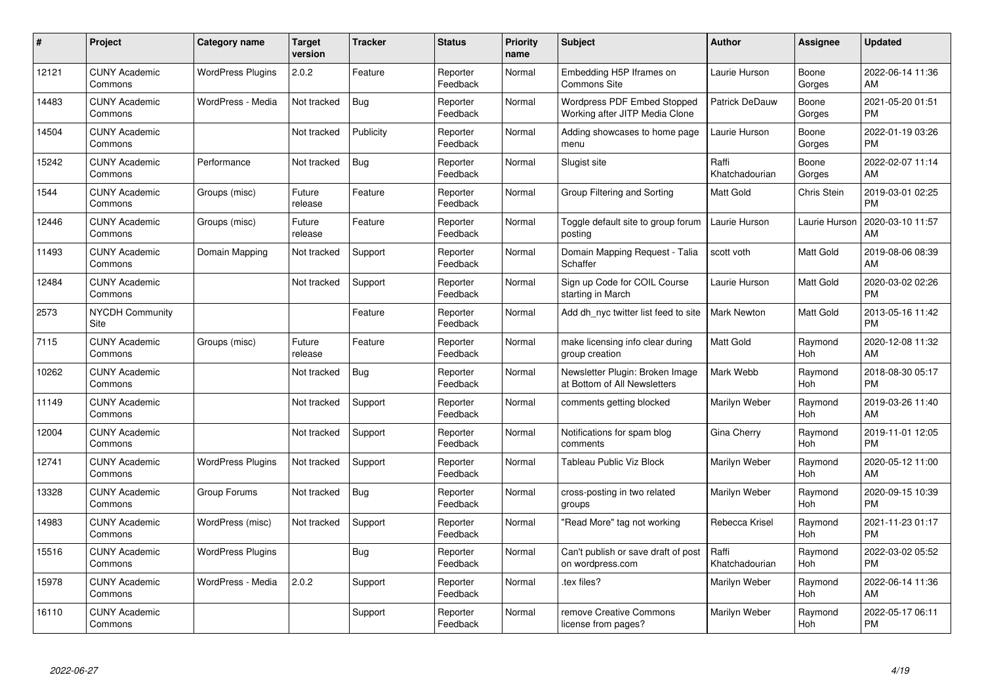| #     | Project                         | <b>Category name</b>     | Target<br>version | <b>Tracker</b> | <b>Status</b>        | <b>Priority</b><br>name | <b>Subject</b>                                                       | <b>Author</b>           | <b>Assignee</b>       | <b>Updated</b>                |
|-------|---------------------------------|--------------------------|-------------------|----------------|----------------------|-------------------------|----------------------------------------------------------------------|-------------------------|-----------------------|-------------------------------|
| 12121 | <b>CUNY Academic</b><br>Commons | <b>WordPress Plugins</b> | 2.0.2             | Feature        | Reporter<br>Feedback | Normal                  | Embedding H5P Iframes on<br>Commons Site                             | Laurie Hurson           | Boone<br>Gorges       | 2022-06-14 11:36<br>AM        |
| 14483 | <b>CUNY Academic</b><br>Commons | WordPress - Media        | Not tracked       | Bug            | Reporter<br>Feedback | Normal                  | <b>Wordpress PDF Embed Stopped</b><br>Working after JITP Media Clone | Patrick DeDauw          | Boone<br>Gorges       | 2021-05-20 01:51<br><b>PM</b> |
| 14504 | <b>CUNY Academic</b><br>Commons |                          | Not tracked       | Publicity      | Reporter<br>Feedback | Normal                  | Adding showcases to home page<br>menu                                | Laurie Hurson           | Boone<br>Gorges       | 2022-01-19 03:26<br><b>PM</b> |
| 15242 | <b>CUNY Academic</b><br>Commons | Performance              | Not tracked       | <b>Bug</b>     | Reporter<br>Feedback | Normal                  | Slugist site                                                         | Raffi<br>Khatchadourian | Boone<br>Gorges       | 2022-02-07 11:14<br>AM        |
| 1544  | <b>CUNY Academic</b><br>Commons | Groups (misc)            | Future<br>release | Feature        | Reporter<br>Feedback | Normal                  | Group Filtering and Sorting                                          | Matt Gold               | Chris Stein           | 2019-03-01 02:25<br><b>PM</b> |
| 12446 | <b>CUNY Academic</b><br>Commons | Groups (misc)            | Future<br>release | Feature        | Reporter<br>Feedback | Normal                  | Toggle default site to group forum<br>postina                        | Laurie Hurson           | Laurie Hurson         | 2020-03-10 11:57<br>AM        |
| 11493 | <b>CUNY Academic</b><br>Commons | Domain Mapping           | Not tracked       | Support        | Reporter<br>Feedback | Normal                  | Domain Mapping Request - Talia<br>Schaffer                           | scott voth              | Matt Gold             | 2019-08-06 08:39<br>AM        |
| 12484 | <b>CUNY Academic</b><br>Commons |                          | Not tracked       | Support        | Reporter<br>Feedback | Normal                  | Sign up Code for COIL Course<br>starting in March                    | Laurie Hurson           | Matt Gold             | 2020-03-02 02:26<br><b>PM</b> |
| 2573  | <b>NYCDH Community</b><br>Site  |                          |                   | Feature        | Reporter<br>Feedback | Normal                  | Add dh nyc twitter list feed to site                                 | <b>Mark Newton</b>      | Matt Gold             | 2013-05-16 11:42<br><b>PM</b> |
| 7115  | <b>CUNY Academic</b><br>Commons | Groups (misc)            | Future<br>release | Feature        | Reporter<br>Feedback | Normal                  | make licensing info clear during<br>group creation                   | <b>Matt Gold</b>        | Raymond<br>Hoh        | 2020-12-08 11:32<br>AM        |
| 10262 | <b>CUNY Academic</b><br>Commons |                          | Not tracked       | Bug            | Reporter<br>Feedback | Normal                  | Newsletter Plugin: Broken Image<br>at Bottom of All Newsletters      | Mark Webb               | Raymond<br><b>Hoh</b> | 2018-08-30 05:17<br><b>PM</b> |
| 11149 | <b>CUNY Academic</b><br>Commons |                          | Not tracked       | Support        | Reporter<br>Feedback | Normal                  | comments getting blocked                                             | Marilyn Weber           | Raymond<br>Hoh        | 2019-03-26 11:40<br>AM        |
| 12004 | <b>CUNY Academic</b><br>Commons |                          | Not tracked       | Support        | Reporter<br>Feedback | Normal                  | Notifications for spam blog<br>comments                              | Gina Cherry             | Raymond<br>Hoh        | 2019-11-01 12:05<br><b>PM</b> |
| 12741 | <b>CUNY Academic</b><br>Commons | <b>WordPress Plugins</b> | Not tracked       | Support        | Reporter<br>Feedback | Normal                  | Tableau Public Viz Block                                             | Marilyn Weber           | Raymond<br>Hoh        | 2020-05-12 11:00<br>AM        |
| 13328 | <b>CUNY Academic</b><br>Commons | Group Forums             | Not tracked       | Bug            | Reporter<br>Feedback | Normal                  | cross-posting in two related<br>groups                               | Marilyn Weber           | Raymond<br>Hoh        | 2020-09-15 10:39<br><b>PM</b> |
| 14983 | <b>CUNY Academic</b><br>Commons | WordPress (misc)         | Not tracked       | Support        | Reporter<br>Feedback | Normal                  | "Read More" tag not working                                          | Rebecca Krisel          | Raymond<br>Hoh        | 2021-11-23 01:17<br><b>PM</b> |
| 15516 | <b>CUNY Academic</b><br>Commons | <b>WordPress Plugins</b> |                   | Bug            | Reporter<br>Feedback | Normal                  | Can't publish or save draft of post<br>on wordpress.com              | Raffi<br>Khatchadourian | Raymond<br><b>Hoh</b> | 2022-03-02 05:52<br><b>PM</b> |
| 15978 | <b>CUNY Academic</b><br>Commons | WordPress - Media        | 2.0.2             | Support        | Reporter<br>Feedback | Normal                  | tex files?                                                           | Marilyn Weber           | Raymond<br>Hoh        | 2022-06-14 11:36<br>AM        |
| 16110 | <b>CUNY Academic</b><br>Commons |                          |                   | Support        | Reporter<br>Feedback | Normal                  | remove Creative Commons<br>license from pages?                       | Marilyn Weber           | Raymond<br>Hoh        | 2022-05-17 06:11<br>PM        |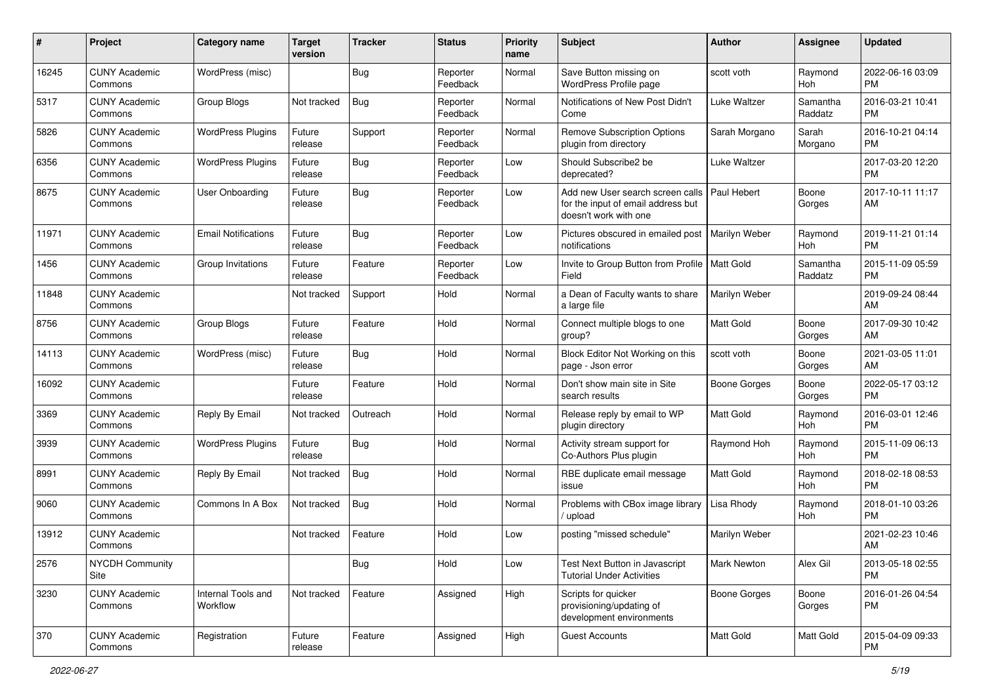| #     | Project                         | <b>Category name</b>           | <b>Target</b><br>version | <b>Tracker</b> | <b>Status</b>        | <b>Priority</b><br>name | Subject                                                                                                       | Author              | <b>Assignee</b>       | <b>Updated</b>                |
|-------|---------------------------------|--------------------------------|--------------------------|----------------|----------------------|-------------------------|---------------------------------------------------------------------------------------------------------------|---------------------|-----------------------|-------------------------------|
| 16245 | <b>CUNY Academic</b><br>Commons | WordPress (misc)               |                          | Bug            | Reporter<br>Feedback | Normal                  | Save Button missing on<br>WordPress Profile page                                                              | scott voth          | Raymond<br>Hoh        | 2022-06-16 03:09<br>PM        |
| 5317  | <b>CUNY Academic</b><br>Commons | Group Blogs                    | Not tracked              | Bug            | Reporter<br>Feedback | Normal                  | Notifications of New Post Didn't<br>Come                                                                      | Luke Waltzer        | Samantha<br>Raddatz   | 2016-03-21 10:41<br><b>PM</b> |
| 5826  | <b>CUNY Academic</b><br>Commons | <b>WordPress Plugins</b>       | Future<br>release        | Support        | Reporter<br>Feedback | Normal                  | <b>Remove Subscription Options</b><br>plugin from directory                                                   | Sarah Morgano       | Sarah<br>Morgano      | 2016-10-21 04:14<br><b>PM</b> |
| 6356  | <b>CUNY Academic</b><br>Commons | <b>WordPress Plugins</b>       | Future<br>release        | Bug            | Reporter<br>Feedback | Low                     | Should Subscribe2 be<br>deprecated?                                                                           | <b>Luke Waltzer</b> |                       | 2017-03-20 12:20<br><b>PM</b> |
| 8675  | <b>CUNY Academic</b><br>Commons | <b>User Onboarding</b>         | Future<br>release        | Bug            | Reporter<br>Feedback | Low                     | Add new User search screen calls   Paul Hebert<br>for the input of email address but<br>doesn't work with one |                     | Boone<br>Gorges       | 2017-10-11 11:17<br>AM        |
| 11971 | <b>CUNY Academic</b><br>Commons | <b>Email Notifications</b>     | Future<br>release        | Bug            | Reporter<br>Feedback | Low                     | Pictures obscured in emailed post<br>notifications                                                            | Marilyn Weber       | Raymond<br><b>Hoh</b> | 2019-11-21 01:14<br><b>PM</b> |
| 1456  | <b>CUNY Academic</b><br>Commons | Group Invitations              | Future<br>release        | Feature        | Reporter<br>Feedback | Low                     | Invite to Group Button from Profile   Matt Gold<br>Field                                                      |                     | Samantha<br>Raddatz   | 2015-11-09 05:59<br><b>PM</b> |
| 11848 | <b>CUNY Academic</b><br>Commons |                                | Not tracked              | Support        | Hold                 | Normal                  | a Dean of Faculty wants to share<br>a large file                                                              | Marilyn Weber       |                       | 2019-09-24 08:44<br>AM        |
| 8756  | <b>CUNY Academic</b><br>Commons | <b>Group Blogs</b>             | Future<br>release        | Feature        | Hold                 | Normal                  | Connect multiple blogs to one<br>group?                                                                       | <b>Matt Gold</b>    | Boone<br>Gorges       | 2017-09-30 10:42<br>AM        |
| 14113 | <b>CUNY Academic</b><br>Commons | WordPress (misc)               | Future<br>release        | Bug            | Hold                 | Normal                  | Block Editor Not Working on this<br>page - Json error                                                         | scott voth          | Boone<br>Gorges       | 2021-03-05 11:01<br>AM        |
| 16092 | <b>CUNY Academic</b><br>Commons |                                | Future<br>release        | Feature        | Hold                 | Normal                  | Don't show main site in Site<br>search results                                                                | <b>Boone Gorges</b> | Boone<br>Gorges       | 2022-05-17 03:12<br><b>PM</b> |
| 3369  | <b>CUNY Academic</b><br>Commons | Reply By Email                 | Not tracked              | Outreach       | Hold                 | Normal                  | Release reply by email to WP<br>plugin directory                                                              | Matt Gold           | Raymond<br>Hoh        | 2016-03-01 12:46<br><b>PM</b> |
| 3939  | <b>CUNY Academic</b><br>Commons | <b>WordPress Plugins</b>       | Future<br>release        | Bug            | Hold                 | Normal                  | Activity stream support for<br>Co-Authors Plus plugin                                                         | Raymond Hoh         | Raymond<br>Hoh        | 2015-11-09 06:13<br><b>PM</b> |
| 8991  | <b>CUNY Academic</b><br>Commons | Reply By Email                 | Not tracked              | Bug            | Hold                 | Normal                  | RBE duplicate email message<br>issue                                                                          | <b>Matt Gold</b>    | Raymond<br>Hoh        | 2018-02-18 08:53<br><b>PM</b> |
| 9060  | <b>CUNY Academic</b><br>Commons | Commons In A Box               | Not tracked              | <b>Bug</b>     | Hold                 | Normal                  | Problems with CBox image library<br>upload                                                                    | Lisa Rhody          | Raymond<br>Hoh        | 2018-01-10 03:26<br><b>PM</b> |
| 13912 | <b>CUNY Academic</b><br>Commons |                                | Not tracked              | Feature        | Hold                 | Low                     | posting "missed schedule"                                                                                     | Marilyn Weber       |                       | 2021-02-23 10:46<br>AM        |
| 2576  | <b>NYCDH Community</b><br>Site  |                                |                          | <b>Bug</b>     | Hold                 | Low                     | Test Next Button in Javascript<br><b>Tutorial Under Activities</b>                                            | <b>Mark Newton</b>  | Alex Gil              | 2013-05-18 02:55<br><b>PM</b> |
| 3230  | <b>CUNY Academic</b><br>Commons | Internal Tools and<br>Workflow | Not tracked              | Feature        | Assigned             | High                    | Scripts for quicker<br>provisioning/updating of<br>development environments                                   | Boone Gorges        | Boone<br>Gorges       | 2016-01-26 04:54<br>PM        |
| 370   | <b>CUNY Academic</b><br>Commons | Registration                   | Future<br>release        | Feature        | Assigned             | High                    | <b>Guest Accounts</b>                                                                                         | Matt Gold           | Matt Gold             | 2015-04-09 09:33<br><b>PM</b> |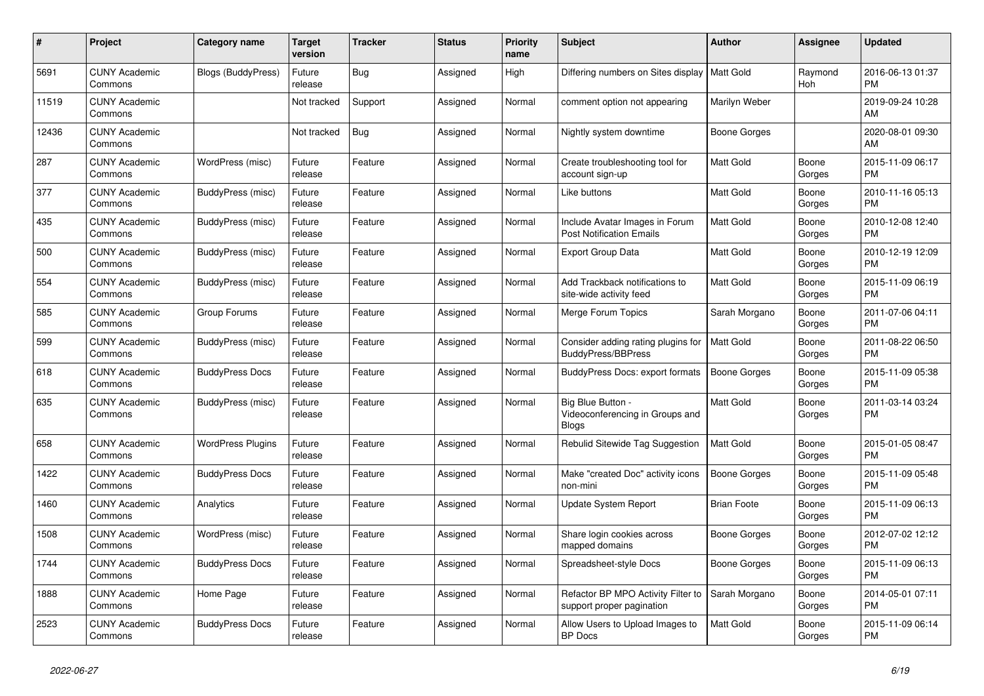| #     | Project                         | Category name             | Target<br>version | <b>Tracker</b> | <b>Status</b> | <b>Priority</b><br>name | <b>Subject</b>                                                       | <b>Author</b>       | <b>Assignee</b> | <b>Updated</b>                |
|-------|---------------------------------|---------------------------|-------------------|----------------|---------------|-------------------------|----------------------------------------------------------------------|---------------------|-----------------|-------------------------------|
| 5691  | <b>CUNY Academic</b><br>Commons | <b>Blogs (BuddyPress)</b> | Future<br>release | <b>Bug</b>     | Assigned      | High                    | Differing numbers on Sites display   Matt Gold                       |                     | Raymond<br>Hoh  | 2016-06-13 01:37<br><b>PM</b> |
| 11519 | <b>CUNY Academic</b><br>Commons |                           | Not tracked       | Support        | Assigned      | Normal                  | comment option not appearing                                         | Marilyn Weber       |                 | 2019-09-24 10:28<br>AM        |
| 12436 | <b>CUNY Academic</b><br>Commons |                           | Not tracked       | Bug            | Assigned      | Normal                  | Nightly system downtime                                              | Boone Gorges        |                 | 2020-08-01 09:30<br>AM        |
| 287   | <b>CUNY Academic</b><br>Commons | WordPress (misc)          | Future<br>release | Feature        | Assigned      | Normal                  | Create troubleshooting tool for<br>account sign-up                   | Matt Gold           | Boone<br>Gorges | 2015-11-09 06:17<br><b>PM</b> |
| 377   | <b>CUNY Academic</b><br>Commons | BuddyPress (misc)         | Future<br>release | Feature        | Assigned      | Normal                  | Like buttons                                                         | Matt Gold           | Boone<br>Gorges | 2010-11-16 05:13<br>PM        |
| 435   | <b>CUNY Academic</b><br>Commons | BuddyPress (misc)         | Future<br>release | Feature        | Assigned      | Normal                  | Include Avatar Images in Forum<br><b>Post Notification Emails</b>    | Matt Gold           | Boone<br>Gorges | 2010-12-08 12:40<br><b>PM</b> |
| 500   | <b>CUNY Academic</b><br>Commons | BuddyPress (misc)         | Future<br>release | Feature        | Assigned      | Normal                  | <b>Export Group Data</b>                                             | Matt Gold           | Boone<br>Gorges | 2010-12-19 12:09<br><b>PM</b> |
| 554   | <b>CUNY Academic</b><br>Commons | BuddyPress (misc)         | Future<br>release | Feature        | Assigned      | Normal                  | Add Trackback notifications to<br>site-wide activity feed            | Matt Gold           | Boone<br>Gorges | 2015-11-09 06:19<br><b>PM</b> |
| 585   | <b>CUNY Academic</b><br>Commons | Group Forums              | Future<br>release | Feature        | Assigned      | Normal                  | Merge Forum Topics                                                   | Sarah Morgano       | Boone<br>Gorges | 2011-07-06 04:11<br><b>PM</b> |
| 599   | <b>CUNY Academic</b><br>Commons | BuddyPress (misc)         | Future<br>release | Feature        | Assigned      | Normal                  | Consider adding rating plugins for<br>BuddyPress/BBPress             | <b>Matt Gold</b>    | Boone<br>Gorges | 2011-08-22 06:50<br><b>PM</b> |
| 618   | <b>CUNY Academic</b><br>Commons | <b>BuddyPress Docs</b>    | Future<br>release | Feature        | Assigned      | Normal                  | BuddyPress Docs: export formats                                      | <b>Boone Gorges</b> | Boone<br>Gorges | 2015-11-09 05:38<br><b>PM</b> |
| 635   | <b>CUNY Academic</b><br>Commons | BuddyPress (misc)         | Future<br>release | Feature        | Assigned      | Normal                  | Big Blue Button -<br>Videoconferencing in Groups and<br><b>Blogs</b> | Matt Gold           | Boone<br>Gorges | 2011-03-14 03:24<br><b>PM</b> |
| 658   | <b>CUNY Academic</b><br>Commons | <b>WordPress Plugins</b>  | Future<br>release | Feature        | Assigned      | Normal                  | Rebulid Sitewide Tag Suggestion                                      | <b>Matt Gold</b>    | Boone<br>Gorges | 2015-01-05 08:47<br><b>PM</b> |
| 1422  | <b>CUNY Academic</b><br>Commons | <b>BuddyPress Docs</b>    | Future<br>release | Feature        | Assigned      | Normal                  | Make "created Doc" activity icons<br>non-mini                        | Boone Gorges        | Boone<br>Gorges | 2015-11-09 05:48<br><b>PM</b> |
| 1460  | <b>CUNY Academic</b><br>Commons | Analytics                 | Future<br>release | Feature        | Assigned      | Normal                  | Update System Report                                                 | <b>Brian Foote</b>  | Boone<br>Gorges | 2015-11-09 06:13<br><b>PM</b> |
| 1508  | <b>CUNY Academic</b><br>Commons | WordPress (misc)          | Future<br>release | Feature        | Assigned      | Normal                  | Share login cookies across<br>mapped domains                         | Boone Gorges        | Boone<br>Gorges | 2012-07-02 12:12<br><b>PM</b> |
| 1744  | <b>CUNY Academic</b><br>Commons | <b>BuddyPress Docs</b>    | Future<br>release | Feature        | Assigned      | Normal                  | Spreadsheet-style Docs                                               | Boone Gorges        | Boone<br>Gorges | 2015-11-09 06:13<br><b>PM</b> |
| 1888  | <b>CUNY Academic</b><br>Commons | Home Page                 | Future<br>release | Feature        | Assigned      | Normal                  | Refactor BP MPO Activity Filter to<br>support proper pagination      | Sarah Morgano       | Boone<br>Gorges | 2014-05-01 07:11<br><b>PM</b> |
| 2523  | <b>CUNY Academic</b><br>Commons | <b>BuddyPress Docs</b>    | Future<br>release | Feature        | Assigned      | Normal                  | Allow Users to Upload Images to<br><b>BP</b> Docs                    | <b>Matt Gold</b>    | Boone<br>Gorges | 2015-11-09 06:14<br><b>PM</b> |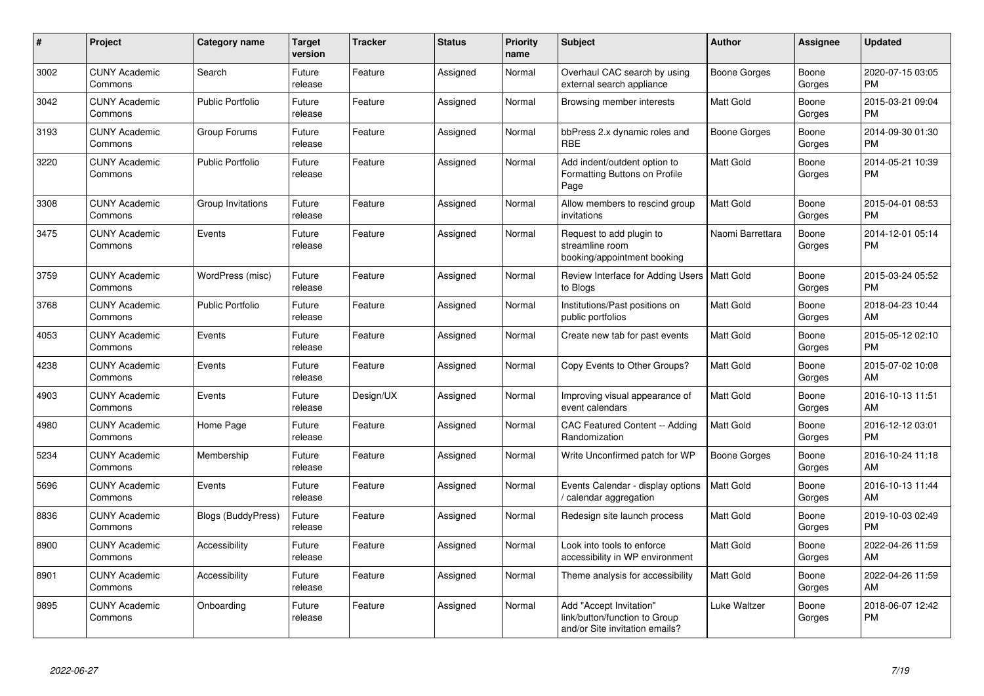| $\#$ | <b>Project</b>                  | Category name             | <b>Target</b><br>version | <b>Tracker</b> | <b>Status</b> | <b>Priority</b><br>name | <b>Subject</b>                                                                             | Author              | Assignee        | <b>Updated</b>                |
|------|---------------------------------|---------------------------|--------------------------|----------------|---------------|-------------------------|--------------------------------------------------------------------------------------------|---------------------|-----------------|-------------------------------|
| 3002 | <b>CUNY Academic</b><br>Commons | Search                    | Future<br>release        | Feature        | Assigned      | Normal                  | Overhaul CAC search by using<br>external search appliance                                  | Boone Gorges        | Boone<br>Gorges | 2020-07-15 03:05<br><b>PM</b> |
| 3042 | <b>CUNY Academic</b><br>Commons | <b>Public Portfolio</b>   | Future<br>release        | Feature        | Assigned      | Normal                  | Browsing member interests                                                                  | Matt Gold           | Boone<br>Gorges | 2015-03-21 09:04<br><b>PM</b> |
| 3193 | <b>CUNY Academic</b><br>Commons | Group Forums              | Future<br>release        | Feature        | Assigned      | Normal                  | bbPress 2.x dynamic roles and<br><b>RBE</b>                                                | Boone Gorges        | Boone<br>Gorges | 2014-09-30 01:30<br><b>PM</b> |
| 3220 | <b>CUNY Academic</b><br>Commons | <b>Public Portfolio</b>   | Future<br>release        | Feature        | Assigned      | Normal                  | Add indent/outdent option to<br>Formatting Buttons on Profile<br>Page                      | <b>Matt Gold</b>    | Boone<br>Gorges | 2014-05-21 10:39<br><b>PM</b> |
| 3308 | <b>CUNY Academic</b><br>Commons | Group Invitations         | Future<br>release        | Feature        | Assigned      | Normal                  | Allow members to rescind group<br>invitations                                              | <b>Matt Gold</b>    | Boone<br>Gorges | 2015-04-01 08:53<br><b>PM</b> |
| 3475 | <b>CUNY Academic</b><br>Commons | Events                    | Future<br>release        | Feature        | Assigned      | Normal                  | Request to add plugin to<br>streamline room<br>booking/appointment booking                 | Naomi Barrettara    | Boone<br>Gorges | 2014-12-01 05:14<br><b>PM</b> |
| 3759 | <b>CUNY Academic</b><br>Commons | WordPress (misc)          | Future<br>release        | Feature        | Assigned      | Normal                  | Review Interface for Adding Users<br>to Blogs                                              | <b>Matt Gold</b>    | Boone<br>Gorges | 2015-03-24 05:52<br><b>PM</b> |
| 3768 | <b>CUNY Academic</b><br>Commons | <b>Public Portfolio</b>   | Future<br>release        | Feature        | Assigned      | Normal                  | Institutions/Past positions on<br>public portfolios                                        | Matt Gold           | Boone<br>Gorges | 2018-04-23 10:44<br>AM        |
| 4053 | <b>CUNY Academic</b><br>Commons | Events                    | Future<br>release        | Feature        | Assigned      | Normal                  | Create new tab for past events                                                             | <b>Matt Gold</b>    | Boone<br>Gorges | 2015-05-12 02:10<br><b>PM</b> |
| 4238 | <b>CUNY Academic</b><br>Commons | Events                    | Future<br>release        | Feature        | Assigned      | Normal                  | Copy Events to Other Groups?                                                               | <b>Matt Gold</b>    | Boone<br>Gorges | 2015-07-02 10:08<br>AM        |
| 4903 | <b>CUNY Academic</b><br>Commons | Events                    | Future<br>release        | Design/UX      | Assigned      | Normal                  | Improving visual appearance of<br>event calendars                                          | <b>Matt Gold</b>    | Boone<br>Gorges | 2016-10-13 11:51<br>AM        |
| 4980 | <b>CUNY Academic</b><br>Commons | Home Page                 | Future<br>release        | Feature        | Assigned      | Normal                  | <b>CAC Featured Content -- Adding</b><br>Randomization                                     | <b>Matt Gold</b>    | Boone<br>Gorges | 2016-12-12 03:01<br><b>PM</b> |
| 5234 | <b>CUNY Academic</b><br>Commons | Membership                | Future<br>release        | Feature        | Assigned      | Normal                  | Write Unconfirmed patch for WP                                                             | <b>Boone Gorges</b> | Boone<br>Gorges | 2016-10-24 11:18<br>AM        |
| 5696 | <b>CUNY Academic</b><br>Commons | Events                    | Future<br>release        | Feature        | Assigned      | Normal                  | Events Calendar - display options<br>calendar aggregation                                  | <b>Matt Gold</b>    | Boone<br>Gorges | 2016-10-13 11:44<br>AM        |
| 8836 | <b>CUNY Academic</b><br>Commons | <b>Blogs (BuddyPress)</b> | Future<br>release        | Feature        | Assigned      | Normal                  | Redesign site launch process                                                               | <b>Matt Gold</b>    | Boone<br>Gorges | 2019-10-03 02:49<br><b>PM</b> |
| 8900 | <b>CUNY Academic</b><br>Commons | Accessibility             | Future<br>release        | Feature        | Assigned      | Normal                  | Look into tools to enforce<br>accessibility in WP environment                              | Matt Gold           | Boone<br>Gorges | 2022-04-26 11:59<br>AM        |
| 8901 | <b>CUNY Academic</b><br>Commons | Accessibility             | Future<br>release        | Feature        | Assigned      | Normal                  | Theme analysis for accessibility                                                           | Matt Gold           | Boone<br>Gorges | 2022-04-26 11:59<br>AM        |
| 9895 | <b>CUNY Academic</b><br>Commons | Onboarding                | Future<br>release        | Feature        | Assigned      | Normal                  | Add "Accept Invitation"<br>link/button/function to Group<br>and/or Site invitation emails? | Luke Waltzer        | Boone<br>Gorges | 2018-06-07 12:42<br><b>PM</b> |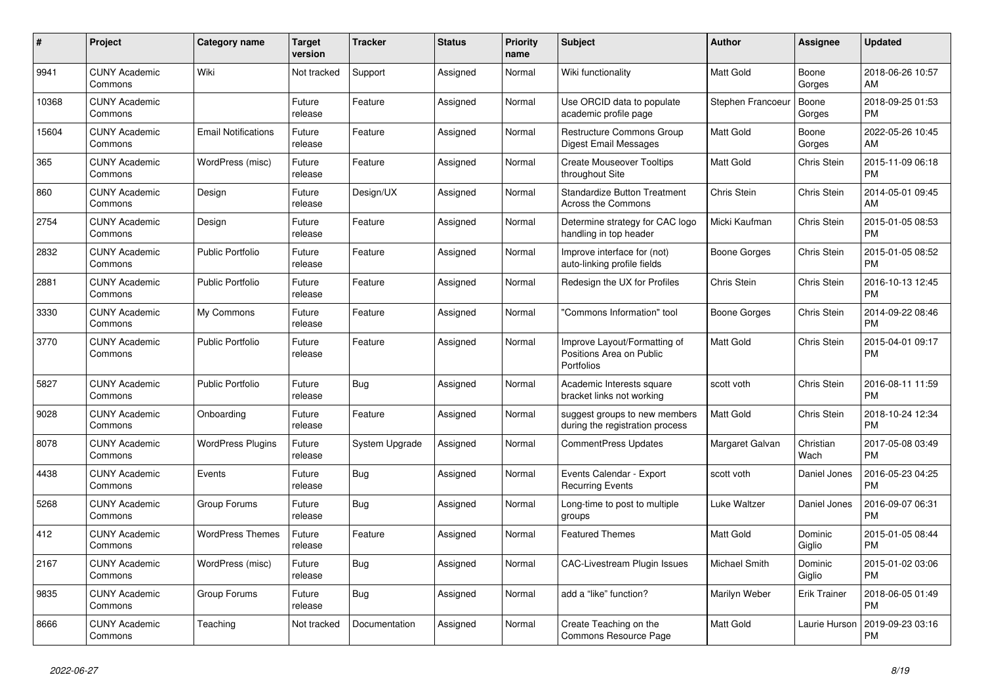| $\pmb{\#}$ | Project                         | Category name              | <b>Target</b><br>version | <b>Tracker</b> | <b>Status</b> | <b>Priority</b><br>name | <b>Subject</b>                                                         | <b>Author</b>        | <b>Assignee</b>     | <b>Updated</b>                |
|------------|---------------------------------|----------------------------|--------------------------|----------------|---------------|-------------------------|------------------------------------------------------------------------|----------------------|---------------------|-------------------------------|
| 9941       | <b>CUNY Academic</b><br>Commons | Wiki                       | Not tracked              | Support        | Assigned      | Normal                  | Wiki functionality                                                     | <b>Matt Gold</b>     | Boone<br>Gorges     | 2018-06-26 10:57<br>AM        |
| 10368      | <b>CUNY Academic</b><br>Commons |                            | Future<br>release        | Feature        | Assigned      | Normal                  | Use ORCID data to populate<br>academic profile page                    | Stephen Francoeur    | Boone<br>Gorges     | 2018-09-25 01:53<br><b>PM</b> |
| 15604      | <b>CUNY Academic</b><br>Commons | <b>Email Notifications</b> | Future<br>release        | Feature        | Assigned      | Normal                  | Restructure Commons Group<br><b>Digest Email Messages</b>              | Matt Gold            | Boone<br>Gorges     | 2022-05-26 10:45<br>AM        |
| 365        | <b>CUNY Academic</b><br>Commons | WordPress (misc)           | Future<br>release        | Feature        | Assigned      | Normal                  | <b>Create Mouseover Tooltips</b><br>throughout Site                    | <b>Matt Gold</b>     | Chris Stein         | 2015-11-09 06:18<br><b>PM</b> |
| 860        | <b>CUNY Academic</b><br>Commons | Design                     | Future<br>release        | Design/UX      | Assigned      | Normal                  | <b>Standardize Button Treatment</b><br>Across the Commons              | Chris Stein          | Chris Stein         | 2014-05-01 09:45<br>AM        |
| 2754       | <b>CUNY Academic</b><br>Commons | Design                     | Future<br>release        | Feature        | Assigned      | Normal                  | Determine strategy for CAC logo<br>handling in top header              | Micki Kaufman        | Chris Stein         | 2015-01-05 08:53<br><b>PM</b> |
| 2832       | <b>CUNY Academic</b><br>Commons | <b>Public Portfolio</b>    | Future<br>release        | Feature        | Assigned      | Normal                  | Improve interface for (not)<br>auto-linking profile fields             | Boone Gorges         | Chris Stein         | 2015-01-05 08:52<br><b>PM</b> |
| 2881       | <b>CUNY Academic</b><br>Commons | Public Portfolio           | Future<br>release        | Feature        | Assigned      | Normal                  | Redesign the UX for Profiles                                           | Chris Stein          | Chris Stein         | 2016-10-13 12:45<br><b>PM</b> |
| 3330       | <b>CUNY Academic</b><br>Commons | My Commons                 | Future<br>release        | Feature        | Assigned      | Normal                  | 'Commons Information" tool                                             | Boone Gorges         | Chris Stein         | 2014-09-22 08:46<br><b>PM</b> |
| 3770       | <b>CUNY Academic</b><br>Commons | <b>Public Portfolio</b>    | Future<br>release        | Feature        | Assigned      | Normal                  | Improve Layout/Formatting of<br>Positions Area on Public<br>Portfolios | <b>Matt Gold</b>     | Chris Stein         | 2015-04-01 09:17<br><b>PM</b> |
| 5827       | <b>CUNY Academic</b><br>Commons | <b>Public Portfolio</b>    | Future<br>release        | Bug            | Assigned      | Normal                  | Academic Interests square<br>bracket links not working                 | scott voth           | Chris Stein         | 2016-08-11 11:59<br><b>PM</b> |
| 9028       | <b>CUNY Academic</b><br>Commons | Onboarding                 | Future<br>release        | Feature        | Assigned      | Normal                  | suggest groups to new members<br>during the registration process       | <b>Matt Gold</b>     | <b>Chris Stein</b>  | 2018-10-24 12:34<br><b>PM</b> |
| 8078       | <b>CUNY Academic</b><br>Commons | <b>WordPress Plugins</b>   | Future<br>release        | System Upgrade | Assigned      | Normal                  | CommentPress Updates                                                   | Margaret Galvan      | Christian<br>Wach   | 2017-05-08 03:49<br><b>PM</b> |
| 4438       | <b>CUNY Academic</b><br>Commons | Events                     | Future<br>release        | <b>Bug</b>     | Assigned      | Normal                  | Events Calendar - Export<br><b>Recurring Events</b>                    | scott voth           | Daniel Jones        | 2016-05-23 04:25<br><b>PM</b> |
| 5268       | <b>CUNY Academic</b><br>Commons | Group Forums               | Future<br>release        | <b>Bug</b>     | Assigned      | Normal                  | Long-time to post to multiple<br>groups                                | Luke Waltzer         | Daniel Jones        | 2016-09-07 06:31<br><b>PM</b> |
| 412        | <b>CUNY Academic</b><br>Commons | <b>WordPress Themes</b>    | Future<br>release        | Feature        | Assigned      | Normal                  | <b>Featured Themes</b>                                                 | <b>Matt Gold</b>     | Dominic<br>Giglio   | 2015-01-05 08:44<br><b>PM</b> |
| 2167       | <b>CUNY Academic</b><br>Commons | WordPress (misc)           | Future<br>release        | Bug            | Assigned      | Normal                  | <b>CAC-Livestream Plugin Issues</b>                                    | <b>Michael Smith</b> | Dominic<br>Giglio   | 2015-01-02 03:06<br><b>PM</b> |
| 9835       | <b>CUNY Academic</b><br>Commons | Group Forums               | Future<br>release        | <b>Bug</b>     | Assigned      | Normal                  | add a "like" function?                                                 | Marilyn Weber        | <b>Erik Trainer</b> | 2018-06-05 01:49<br><b>PM</b> |
| 8666       | <b>CUNY Academic</b><br>Commons | Teaching                   | Not tracked              | Documentation  | Assigned      | Normal                  | Create Teaching on the<br>Commons Resource Page                        | <b>Matt Gold</b>     | Laurie Hurson       | 2019-09-23 03:16<br><b>PM</b> |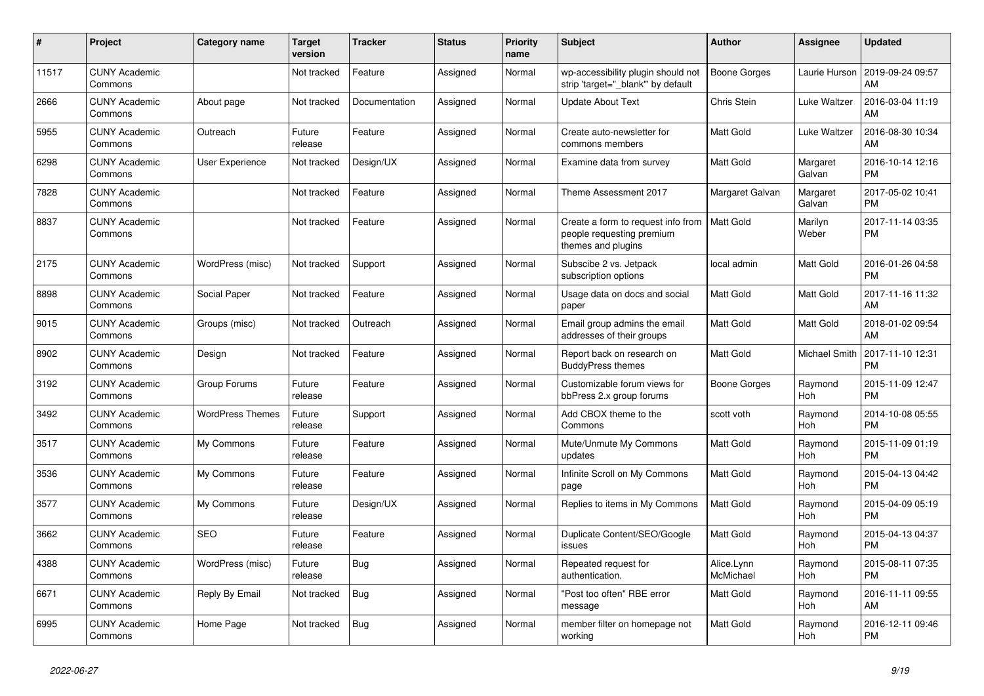| #     | <b>Project</b>                  | <b>Category name</b>    | <b>Target</b><br>version | Tracker       | <b>Status</b> | <b>Priority</b><br>name | <b>Subject</b>                                                                        | <b>Author</b>           | Assignee              | <b>Updated</b>                |
|-------|---------------------------------|-------------------------|--------------------------|---------------|---------------|-------------------------|---------------------------------------------------------------------------------------|-------------------------|-----------------------|-------------------------------|
| 11517 | <b>CUNY Academic</b><br>Commons |                         | Not tracked              | Feature       | Assigned      | Normal                  | wp-accessibility plugin should not<br>strip 'target="_blank"' by default              | Boone Gorges            | Laurie Hurson         | 2019-09-24 09:57<br>AM        |
| 2666  | <b>CUNY Academic</b><br>Commons | About page              | Not tracked              | Documentation | Assigned      | Normal                  | Update About Text                                                                     | Chris Stein             | Luke Waltzer          | 2016-03-04 11:19<br>AM        |
| 5955  | <b>CUNY Academic</b><br>Commons | Outreach                | Future<br>release        | Feature       | Assigned      | Normal                  | Create auto-newsletter for<br>commons members                                         | Matt Gold               | Luke Waltzer          | 2016-08-30 10:34<br>AM        |
| 6298  | <b>CUNY Academic</b><br>Commons | <b>User Experience</b>  | Not tracked              | Design/UX     | Assigned      | Normal                  | Examine data from survey                                                              | Matt Gold               | Margaret<br>Galvan    | 2016-10-14 12:16<br><b>PM</b> |
| 7828  | <b>CUNY Academic</b><br>Commons |                         | Not tracked              | Feature       | Assigned      | Normal                  | Theme Assessment 2017                                                                 | Margaret Galvan         | Margaret<br>Galvan    | 2017-05-02 10:41<br>РM        |
| 8837  | <b>CUNY Academic</b><br>Commons |                         | Not tracked              | Feature       | Assigned      | Normal                  | Create a form to request info from<br>people requesting premium<br>themes and plugins | Matt Gold               | Marilyn<br>Weber      | 2017-11-14 03:35<br>PМ        |
| 2175  | <b>CUNY Academic</b><br>Commons | WordPress (misc)        | Not tracked              | Support       | Assigned      | Normal                  | Subscibe 2 vs. Jetpack<br>subscription options                                        | local admin             | <b>Matt Gold</b>      | 2016-01-26 04:58<br>PM        |
| 8898  | <b>CUNY Academic</b><br>Commons | Social Paper            | Not tracked              | Feature       | Assigned      | Normal                  | Usage data on docs and social<br>paper                                                | Matt Gold               | Matt Gold             | 2017-11-16 11:32<br>AM        |
| 9015  | <b>CUNY Academic</b><br>Commons | Groups (misc)           | Not tracked              | Outreach      | Assigned      | Normal                  | Email group admins the email<br>addresses of their groups                             | Matt Gold               | Matt Gold             | 2018-01-02 09:54<br>AM        |
| 8902  | <b>CUNY Academic</b><br>Commons | Design                  | Not tracked              | Feature       | Assigned      | Normal                  | Report back on research on<br><b>BuddyPress themes</b>                                | Matt Gold               | Michael Smith         | 2017-11-10 12:31<br>PM        |
| 3192  | <b>CUNY Academic</b><br>Commons | Group Forums            | Future<br>release        | Feature       | Assigned      | Normal                  | Customizable forum views for<br>bbPress 2.x group forums                              | Boone Gorges            | Raymond<br><b>Hoh</b> | 2015-11-09 12:47<br><b>PM</b> |
| 3492  | <b>CUNY Academic</b><br>Commons | <b>WordPress Themes</b> | Future<br>release        | Support       | Assigned      | Normal                  | Add CBOX theme to the<br>Commons                                                      | scott voth              | Raymond<br>Hoh        | 2014-10-08 05:55<br><b>PM</b> |
| 3517  | <b>CUNY Academic</b><br>Commons | My Commons              | Future<br>release        | Feature       | Assigned      | Normal                  | Mute/Unmute My Commons<br>updates                                                     | Matt Gold               | Raymond<br>Hoh        | 2015-11-09 01:19<br><b>PM</b> |
| 3536  | <b>CUNY Academic</b><br>Commons | My Commons              | Future<br>release        | Feature       | Assigned      | Normal                  | Infinite Scroll on My Commons<br>page                                                 | Matt Gold               | Raymond<br>Hoh        | 2015-04-13 04:42<br><b>PM</b> |
| 3577  | <b>CUNY Academic</b><br>Commons | My Commons              | Future<br>release        | Design/UX     | Assigned      | Normal                  | Replies to items in My Commons                                                        | Matt Gold               | Raymond<br>Hoh        | 2015-04-09 05:19<br><b>PM</b> |
| 3662  | <b>CUNY Academic</b><br>Commons | <b>SEO</b>              | Future<br>release        | Feature       | Assigned      | Normal                  | Duplicate Content/SEO/Google<br>issues                                                | Matt Gold               | Raymond<br><b>Hoh</b> | 2015-04-13 04:37<br>PM        |
| 4388  | <b>CUNY Academic</b><br>Commons | WordPress (misc)        | Future<br>release        | Bug           | Assigned      | Normal                  | Repeated request for<br>authentication.                                               | Alice.Lynn<br>McMichael | Raymond<br>Hoh        | 2015-08-11 07:35<br><b>PM</b> |
| 6671  | <b>CUNY Academic</b><br>Commons | Reply By Email          | Not tracked              | Bug           | Assigned      | Normal                  | "Post too often" RBE error<br>message                                                 | Matt Gold               | Raymond<br>Hoh        | 2016-11-11 09:55<br>AM        |
| 6995  | <b>CUNY Academic</b><br>Commons | Home Page               | Not tracked              | Bug           | Assigned      | Normal                  | member filter on homepage not<br>working                                              | Matt Gold               | Raymond<br>Hoh        | 2016-12-11 09:46<br><b>PM</b> |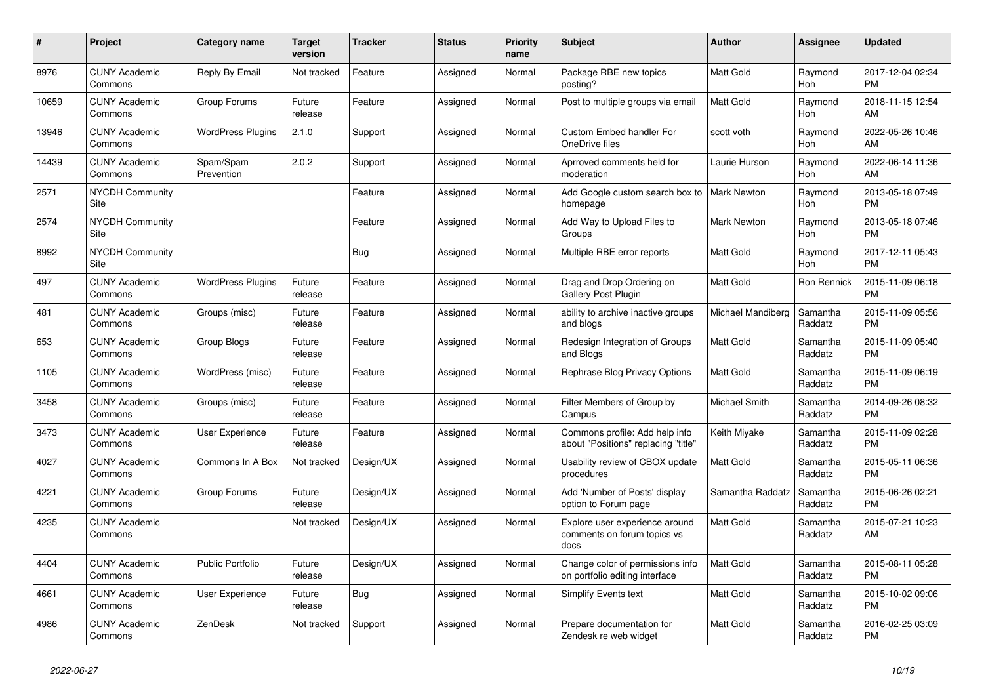| $\pmb{\#}$ | <b>Project</b>                  | Category name            | <b>Target</b><br>version | <b>Tracker</b> | <b>Status</b> | <b>Priority</b><br>name | <b>Subject</b>                                                        | Author             | Assignee              | <b>Updated</b>                |
|------------|---------------------------------|--------------------------|--------------------------|----------------|---------------|-------------------------|-----------------------------------------------------------------------|--------------------|-----------------------|-------------------------------|
| 8976       | <b>CUNY Academic</b><br>Commons | Reply By Email           | Not tracked              | Feature        | Assigned      | Normal                  | Package RBE new topics<br>posting?                                    | Matt Gold          | Raymond<br><b>Hoh</b> | 2017-12-04 02:34<br><b>PM</b> |
| 10659      | <b>CUNY Academic</b><br>Commons | Group Forums             | Future<br>release        | Feature        | Assigned      | Normal                  | Post to multiple groups via email                                     | Matt Gold          | Raymond<br>Hoh        | 2018-11-15 12:54<br>AM        |
| 13946      | <b>CUNY Academic</b><br>Commons | <b>WordPress Plugins</b> | 2.1.0                    | Support        | Assigned      | Normal                  | <b>Custom Embed handler For</b><br>OneDrive files                     | scott voth         | Raymond<br>Hoh        | 2022-05-26 10:46<br>AM        |
| 14439      | <b>CUNY Academic</b><br>Commons | Spam/Spam<br>Prevention  | 2.0.2                    | Support        | Assigned      | Normal                  | Aprroved comments held for<br>moderation                              | Laurie Hurson      | Raymond<br><b>Hoh</b> | 2022-06-14 11:36<br>AM        |
| 2571       | <b>NYCDH Community</b><br>Site  |                          |                          | Feature        | Assigned      | Normal                  | Add Google custom search box to<br>homepage                           | <b>Mark Newton</b> | Raymond<br>Hoh        | 2013-05-18 07:49<br>PM        |
| 2574       | <b>NYCDH Community</b><br>Site  |                          |                          | Feature        | Assigned      | Normal                  | Add Way to Upload Files to<br>Groups                                  | Mark Newton        | Raymond<br><b>Hoh</b> | 2013-05-18 07:46<br>PM        |
| 8992       | <b>NYCDH Community</b><br>Site  |                          |                          | <b>Bug</b>     | Assigned      | Normal                  | Multiple RBE error reports                                            | Matt Gold          | Raymond<br><b>Hoh</b> | 2017-12-11 05:43<br><b>PM</b> |
| 497        | <b>CUNY Academic</b><br>Commons | <b>WordPress Plugins</b> | Future<br>release        | Feature        | Assigned      | Normal                  | Drag and Drop Ordering on<br>Gallery Post Plugin                      | Matt Gold          | Ron Rennick           | 2015-11-09 06:18<br>PM        |
| 481        | <b>CUNY Academic</b><br>Commons | Groups (misc)            | Future<br>release        | Feature        | Assigned      | Normal                  | ability to archive inactive groups<br>and blogs                       | Michael Mandiberg  | Samantha<br>Raddatz   | 2015-11-09 05:56<br><b>PM</b> |
| 653        | <b>CUNY Academic</b><br>Commons | Group Blogs              | Future<br>release        | Feature        | Assigned      | Normal                  | Redesign Integration of Groups<br>and Blogs                           | Matt Gold          | Samantha<br>Raddatz   | 2015-11-09 05:40<br><b>PM</b> |
| 1105       | <b>CUNY Academic</b><br>Commons | WordPress (misc)         | Future<br>release        | Feature        | Assigned      | Normal                  | Rephrase Blog Privacy Options                                         | Matt Gold          | Samantha<br>Raddatz   | 2015-11-09 06:19<br>PM        |
| 3458       | <b>CUNY Academic</b><br>Commons | Groups (misc)            | Future<br>release        | Feature        | Assigned      | Normal                  | Filter Members of Group by<br>Campus                                  | Michael Smith      | Samantha<br>Raddatz   | 2014-09-26 08:32<br><b>PM</b> |
| 3473       | <b>CUNY Academic</b><br>Commons | User Experience          | Future<br>release        | Feature        | Assigned      | Normal                  | Commons profile: Add help info<br>about "Positions" replacing "title" | Keith Miyake       | Samantha<br>Raddatz   | 2015-11-09 02:28<br><b>PM</b> |
| 4027       | <b>CUNY Academic</b><br>Commons | Commons In A Box         | Not tracked              | Design/UX      | Assigned      | Normal                  | Usability review of CBOX update<br>procedures                         | Matt Gold          | Samantha<br>Raddatz   | 2015-05-11 06:36<br><b>PM</b> |
| 4221       | <b>CUNY Academic</b><br>Commons | Group Forums             | Future<br>release        | Design/UX      | Assigned      | Normal                  | Add 'Number of Posts' display<br>option to Forum page                 | Samantha Raddatz   | Samantha<br>Raddatz   | 2015-06-26 02:21<br><b>PM</b> |
| 4235       | <b>CUNY Academic</b><br>Commons |                          | Not tracked              | Design/UX      | Assigned      | Normal                  | Explore user experience around<br>comments on forum topics vs<br>docs | Matt Gold          | Samantha<br>Raddatz   | 2015-07-21 10:23<br>AM        |
| 4404       | <b>CUNY Academic</b><br>Commons | <b>Public Portfolio</b>  | Future<br>release        | Design/UX      | Assigned      | Normal                  | Change color of permissions info<br>on portfolio editing interface    | Matt Gold          | Samantha<br>Raddatz   | 2015-08-11 05:28<br><b>PM</b> |
| 4661       | <b>CUNY Academic</b><br>Commons | User Experience          | Future<br>release        | <b>Bug</b>     | Assigned      | Normal                  | <b>Simplify Events text</b>                                           | Matt Gold          | Samantha<br>Raddatz   | 2015-10-02 09:06<br>PM        |
| 4986       | <b>CUNY Academic</b><br>Commons | ZenDesk                  | Not tracked              | Support        | Assigned      | Normal                  | Prepare documentation for<br>Zendesk re web widget                    | Matt Gold          | Samantha<br>Raddatz   | 2016-02-25 03:09<br>PM        |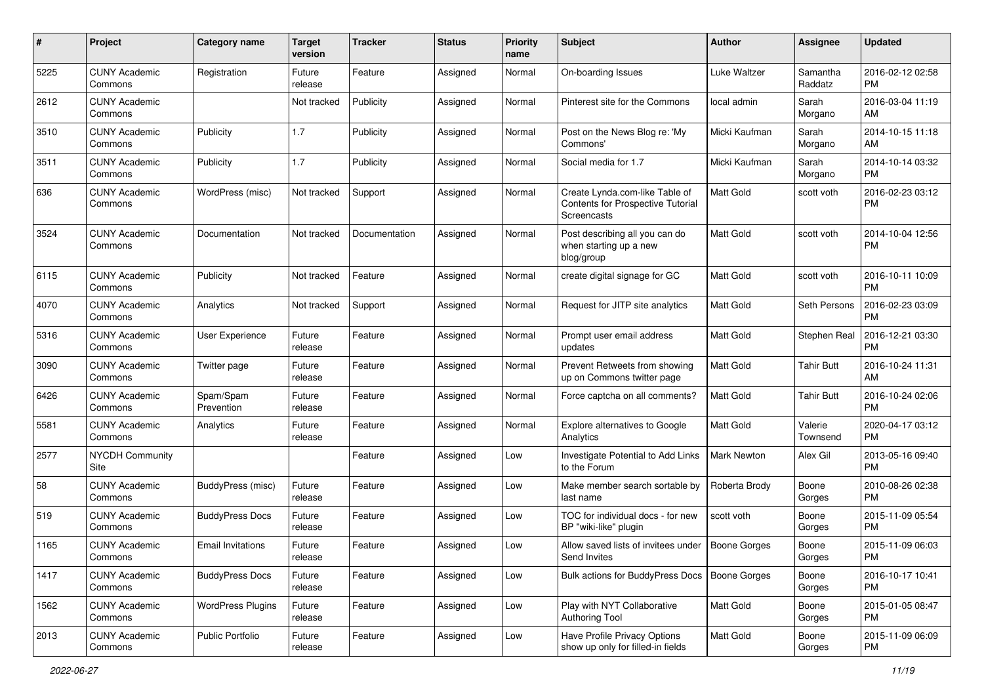| #    | Project                         | <b>Category name</b>     | Target<br>version | <b>Tracker</b> | <b>Status</b> | <b>Priority</b><br>name | <b>Subject</b>                                                                     | Author              | Assignee            | <b>Updated</b>                |
|------|---------------------------------|--------------------------|-------------------|----------------|---------------|-------------------------|------------------------------------------------------------------------------------|---------------------|---------------------|-------------------------------|
| 5225 | <b>CUNY Academic</b><br>Commons | Registration             | Future<br>release | Feature        | Assigned      | Normal                  | On-boarding Issues                                                                 | Luke Waltzer        | Samantha<br>Raddatz | 2016-02-12 02:58<br><b>PM</b> |
| 2612 | <b>CUNY Academic</b><br>Commons |                          | Not tracked       | Publicity      | Assigned      | Normal                  | Pinterest site for the Commons                                                     | local admin         | Sarah<br>Morgano    | 2016-03-04 11:19<br>AM        |
| 3510 | <b>CUNY Academic</b><br>Commons | Publicity                | 1.7               | Publicity      | Assigned      | Normal                  | Post on the News Blog re: 'My<br>Commons'                                          | Micki Kaufman       | Sarah<br>Morgano    | 2014-10-15 11:18<br>AM        |
| 3511 | <b>CUNY Academic</b><br>Commons | Publicity                | 1.7               | Publicity      | Assigned      | Normal                  | Social media for 1.7                                                               | Micki Kaufman       | Sarah<br>Morgano    | 2014-10-14 03:32<br><b>PM</b> |
| 636  | <b>CUNY Academic</b><br>Commons | WordPress (misc)         | Not tracked       | Support        | Assigned      | Normal                  | Create Lynda.com-like Table of<br>Contents for Prospective Tutorial<br>Screencasts | <b>Matt Gold</b>    | scott voth          | 2016-02-23 03:12<br><b>PM</b> |
| 3524 | <b>CUNY Academic</b><br>Commons | Documentation            | Not tracked       | Documentation  | Assigned      | Normal                  | Post describing all you can do<br>when starting up a new<br>blog/group             | <b>Matt Gold</b>    | scott voth          | 2014-10-04 12:56<br><b>PM</b> |
| 6115 | <b>CUNY Academic</b><br>Commons | Publicity                | Not tracked       | Feature        | Assigned      | Normal                  | create digital signage for GC                                                      | <b>Matt Gold</b>    | scott voth          | 2016-10-11 10:09<br><b>PM</b> |
| 4070 | <b>CUNY Academic</b><br>Commons | Analytics                | Not tracked       | Support        | Assigned      | Normal                  | Request for JITP site analytics                                                    | Matt Gold           | Seth Persons        | 2016-02-23 03:09<br><b>PM</b> |
| 5316 | <b>CUNY Academic</b><br>Commons | User Experience          | Future<br>release | Feature        | Assigned      | Normal                  | Prompt user email address<br>updates                                               | Matt Gold           | Stephen Real        | 2016-12-21 03:30<br><b>PM</b> |
| 3090 | <b>CUNY Academic</b><br>Commons | Twitter page             | Future<br>release | Feature        | Assigned      | Normal                  | Prevent Retweets from showing<br>up on Commons twitter page                        | <b>Matt Gold</b>    | <b>Tahir Butt</b>   | 2016-10-24 11:31<br>AM        |
| 6426 | <b>CUNY Academic</b><br>Commons | Spam/Spam<br>Prevention  | Future<br>release | Feature        | Assigned      | Normal                  | Force captcha on all comments?                                                     | Matt Gold           | <b>Tahir Butt</b>   | 2016-10-24 02:06<br><b>PM</b> |
| 5581 | <b>CUNY Academic</b><br>Commons | Analytics                | Future<br>release | Feature        | Assigned      | Normal                  | Explore alternatives to Google<br>Analytics                                        | Matt Gold           | Valerie<br>Townsend | 2020-04-17 03:12<br><b>PM</b> |
| 2577 | <b>NYCDH Community</b><br>Site  |                          |                   | Feature        | Assigned      | Low                     | Investigate Potential to Add Links<br>to the Forum                                 | Mark Newton         | Alex Gil            | 2013-05-16 09:40<br><b>PM</b> |
| 58   | <b>CUNY Academic</b><br>Commons | BuddyPress (misc)        | Future<br>release | Feature        | Assigned      | Low                     | Make member search sortable by<br>last name                                        | Roberta Brody       | Boone<br>Gorges     | 2010-08-26 02:38<br><b>PM</b> |
| 519  | <b>CUNY Academic</b><br>Commons | <b>BuddyPress Docs</b>   | Future<br>release | Feature        | Assigned      | Low                     | TOC for individual docs - for new<br>BP "wiki-like" plugin                         | scott voth          | Boone<br>Gorges     | 2015-11-09 05:54<br><b>PM</b> |
| 1165 | <b>CUNY Academic</b><br>Commons | <b>Email Invitations</b> | Future<br>release | Feature        | Assigned      | Low                     | Allow saved lists of invitees under<br>Send Invites                                | <b>Boone Gorges</b> | Boone<br>Gorges     | 2015-11-09 06:03<br>PM        |
| 1417 | <b>CUNY Academic</b><br>Commons | <b>BuddyPress Docs</b>   | Future<br>release | Feature        | Assigned      | Low                     | Bulk actions for BuddyPress Docs   Boone Gorges                                    |                     | Boone<br>Gorges     | 2016-10-17 10:41<br><b>PM</b> |
| 1562 | <b>CUNY Academic</b><br>Commons | <b>WordPress Plugins</b> | Future<br>release | Feature        | Assigned      | Low                     | Play with NYT Collaborative<br>Authoring Tool                                      | Matt Gold           | Boone<br>Gorges     | 2015-01-05 08:47<br><b>PM</b> |
| 2013 | <b>CUNY Academic</b><br>Commons | Public Portfolio         | Future<br>release | Feature        | Assigned      | Low                     | Have Profile Privacy Options<br>show up only for filled-in fields                  | Matt Gold           | Boone<br>Gorges     | 2015-11-09 06:09<br>PM        |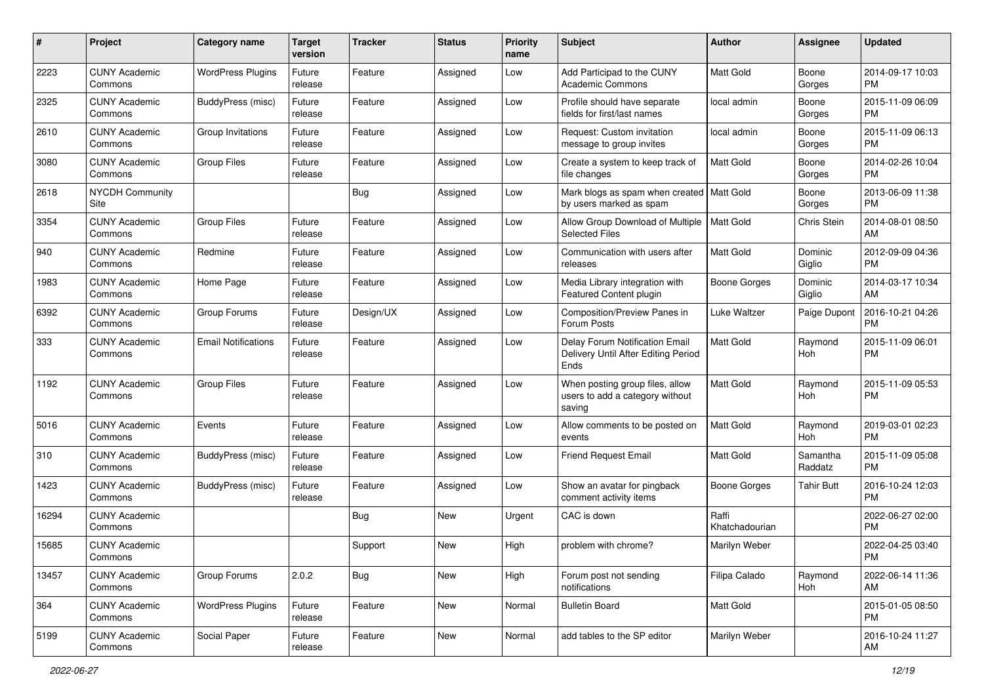| #     | Project                         | Category name              | <b>Target</b><br>version | Tracker    | <b>Status</b> | <b>Priority</b><br>name | Subject                                                                       | Author                  | Assignee            | <b>Updated</b>                |
|-------|---------------------------------|----------------------------|--------------------------|------------|---------------|-------------------------|-------------------------------------------------------------------------------|-------------------------|---------------------|-------------------------------|
| 2223  | <b>CUNY Academic</b><br>Commons | <b>WordPress Plugins</b>   | Future<br>release        | Feature    | Assigned      | Low                     | Add Participad to the CUNY<br><b>Academic Commons</b>                         | <b>Matt Gold</b>        | Boone<br>Gorges     | 2014-09-17 10:03<br><b>PM</b> |
| 2325  | <b>CUNY Academic</b><br>Commons | BuddyPress (misc)          | Future<br>release        | Feature    | Assigned      | Low                     | Profile should have separate<br>fields for first/last names                   | local admin             | Boone<br>Gorges     | 2015-11-09 06:09<br>PM        |
| 2610  | <b>CUNY Academic</b><br>Commons | Group Invitations          | Future<br>release        | Feature    | Assigned      | Low                     | Request: Custom invitation<br>message to group invites                        | local admin             | Boone<br>Gorges     | 2015-11-09 06:13<br><b>PM</b> |
| 3080  | <b>CUNY Academic</b><br>Commons | <b>Group Files</b>         | Future<br>release        | Feature    | Assigned      | Low                     | Create a system to keep track of<br>file changes                              | <b>Matt Gold</b>        | Boone<br>Gorges     | 2014-02-26 10:04<br><b>PM</b> |
| 2618  | NYCDH Community<br>Site         |                            |                          | <b>Bug</b> | Assigned      | Low                     | Mark blogs as spam when created   Matt Gold<br>by users marked as spam        |                         | Boone<br>Gorges     | 2013-06-09 11:38<br><b>PM</b> |
| 3354  | <b>CUNY Academic</b><br>Commons | <b>Group Files</b>         | Future<br>release        | Feature    | Assigned      | Low                     | Allow Group Download of Multiple<br><b>Selected Files</b>                     | <b>Matt Gold</b>        | Chris Stein         | 2014-08-01 08:50<br>AM        |
| 940   | <b>CUNY Academic</b><br>Commons | Redmine                    | Future<br>release        | Feature    | Assigned      | Low                     | Communication with users after<br>releases                                    | Matt Gold               | Dominic<br>Giglio   | 2012-09-09 04:36<br><b>PM</b> |
| 1983  | <b>CUNY Academic</b><br>Commons | Home Page                  | Future<br>release        | Feature    | Assigned      | Low                     | Media Library integration with<br>Featured Content plugin                     | <b>Boone Gorges</b>     | Dominic<br>Giglio   | 2014-03-17 10:34<br>AM        |
| 6392  | <b>CUNY Academic</b><br>Commons | Group Forums               | Future<br>release        | Design/UX  | Assigned      | Low                     | Composition/Preview Panes in<br>Forum Posts                                   | Luke Waltzer            | Paige Dupont        | 2016-10-21 04:26<br><b>PM</b> |
| 333   | <b>CUNY Academic</b><br>Commons | <b>Email Notifications</b> | Future<br>release        | Feature    | Assigned      | Low                     | Delay Forum Notification Email<br>Delivery Until After Editing Period<br>Ends | Matt Gold               | Raymond<br>Hoh      | 2015-11-09 06:01<br><b>PM</b> |
| 1192  | <b>CUNY Academic</b><br>Commons | <b>Group Files</b>         | Future<br>release        | Feature    | Assigned      | Low                     | When posting group files, allow<br>users to add a category without<br>saving  | <b>Matt Gold</b>        | Raymond<br>Hoh      | 2015-11-09 05:53<br><b>PM</b> |
| 5016  | <b>CUNY Academic</b><br>Commons | Events                     | Future<br>release        | Feature    | Assigned      | Low                     | Allow comments to be posted on<br>events                                      | Matt Gold               | Raymond<br>Hoh      | 2019-03-01 02:23<br><b>PM</b> |
| 310   | <b>CUNY Academic</b><br>Commons | BuddyPress (misc)          | Future<br>release        | Feature    | Assigned      | Low                     | <b>Friend Request Email</b>                                                   | <b>Matt Gold</b>        | Samantha<br>Raddatz | 2015-11-09 05:08<br><b>PM</b> |
| 1423  | <b>CUNY Academic</b><br>Commons | BuddyPress (misc)          | Future<br>release        | Feature    | Assigned      | Low                     | Show an avatar for pingback<br>comment activity items                         | Boone Gorges            | <b>Tahir Butt</b>   | 2016-10-24 12:03<br><b>PM</b> |
| 16294 | <b>CUNY Academic</b><br>Commons |                            |                          | <b>Bug</b> | <b>New</b>    | Urgent                  | CAC is down                                                                   | Raffi<br>Khatchadourian |                     | 2022-06-27 02:00<br><b>PM</b> |
| 15685 | <b>CUNY Academic</b><br>Commons |                            |                          | Support    | <b>New</b>    | High                    | problem with chrome?                                                          | Marilyn Weber           |                     | 2022-04-25 03:40<br>PM        |
| 13457 | <b>CUNY Academic</b><br>Commons | Group Forums               | 2.0.2                    | <b>Bug</b> | New           | High                    | Forum post not sending<br>notifications                                       | Filipa Calado           | Raymond<br>Hoh      | 2022-06-14 11:36<br>AM        |
| 364   | <b>CUNY Academic</b><br>Commons | <b>WordPress Plugins</b>   | Future<br>release        | Feature    | New           | Normal                  | <b>Bulletin Board</b>                                                         | Matt Gold               |                     | 2015-01-05 08:50<br>PM        |
| 5199  | <b>CUNY Academic</b><br>Commons | Social Paper               | Future<br>release        | Feature    | New           | Normal                  | add tables to the SP editor                                                   | Marilyn Weber           |                     | 2016-10-24 11:27<br>AM        |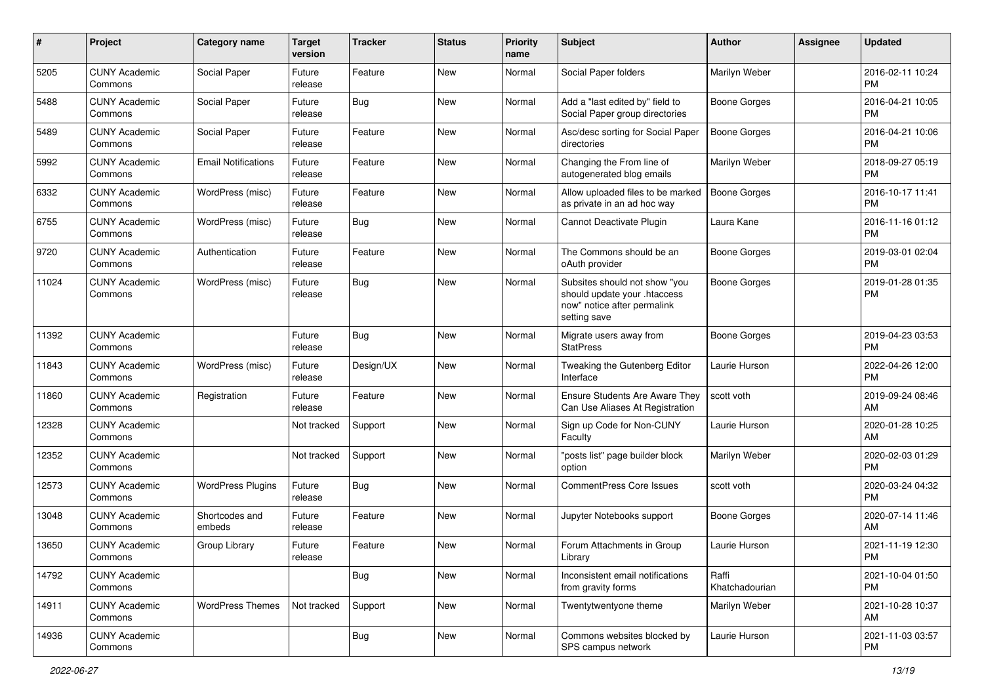| #     | Project                         | <b>Category name</b>       | <b>Target</b><br>version | <b>Tracker</b> | <b>Status</b> | <b>Priority</b><br>name | Subject                                                                                                      | Author                  | <b>Assignee</b> | <b>Updated</b>                |
|-------|---------------------------------|----------------------------|--------------------------|----------------|---------------|-------------------------|--------------------------------------------------------------------------------------------------------------|-------------------------|-----------------|-------------------------------|
| 5205  | <b>CUNY Academic</b><br>Commons | Social Paper               | Future<br>release        | Feature        | New           | Normal                  | Social Paper folders                                                                                         | Marilyn Weber           |                 | 2016-02-11 10:24<br><b>PM</b> |
| 5488  | <b>CUNY Academic</b><br>Commons | Social Paper               | Future<br>release        | <b>Bug</b>     | New           | Normal                  | Add a "last edited by" field to<br>Social Paper group directories                                            | <b>Boone Gorges</b>     |                 | 2016-04-21 10:05<br><b>PM</b> |
| 5489  | <b>CUNY Academic</b><br>Commons | Social Paper               | Future<br>release        | Feature        | New           | Normal                  | Asc/desc sorting for Social Paper<br>directories                                                             | Boone Gorges            |                 | 2016-04-21 10:06<br><b>PM</b> |
| 5992  | <b>CUNY Academic</b><br>Commons | <b>Email Notifications</b> | Future<br>release        | Feature        | <b>New</b>    | Normal                  | Changing the From line of<br>autogenerated blog emails                                                       | Marilyn Weber           |                 | 2018-09-27 05:19<br><b>PM</b> |
| 6332  | <b>CUNY Academic</b><br>Commons | WordPress (misc)           | Future<br>release        | Feature        | New           | Normal                  | Allow uploaded files to be marked<br>as private in an ad hoc way                                             | Boone Gorges            |                 | 2016-10-17 11:41<br><b>PM</b> |
| 6755  | <b>CUNY Academic</b><br>Commons | WordPress (misc)           | Future<br>release        | Bug            | New           | Normal                  | Cannot Deactivate Plugin                                                                                     | Laura Kane              |                 | 2016-11-16 01:12<br><b>PM</b> |
| 9720  | <b>CUNY Academic</b><br>Commons | Authentication             | Future<br>release        | Feature        | New           | Normal                  | The Commons should be an<br>oAuth provider                                                                   | <b>Boone Gorges</b>     |                 | 2019-03-01 02:04<br><b>PM</b> |
| 11024 | <b>CUNY Academic</b><br>Commons | WordPress (misc)           | Future<br>release        | Bug            | New           | Normal                  | Subsites should not show "you<br>should update your .htaccess<br>now" notice after permalink<br>setting save | <b>Boone Gorges</b>     |                 | 2019-01-28 01:35<br><b>PM</b> |
| 11392 | <b>CUNY Academic</b><br>Commons |                            | Future<br>release        | <b>Bug</b>     | <b>New</b>    | Normal                  | Migrate users away from<br><b>StatPress</b>                                                                  | <b>Boone Gorges</b>     |                 | 2019-04-23 03:53<br><b>PM</b> |
| 11843 | <b>CUNY Academic</b><br>Commons | WordPress (misc)           | Future<br>release        | Design/UX      | <b>New</b>    | Normal                  | Tweaking the Gutenberg Editor<br>Interface                                                                   | Laurie Hurson           |                 | 2022-04-26 12:00<br><b>PM</b> |
| 11860 | <b>CUNY Academic</b><br>Commons | Registration               | Future<br>release        | Feature        | New           | Normal                  | Ensure Students Are Aware They<br>Can Use Aliases At Registration                                            | scott voth              |                 | 2019-09-24 08:46<br>AM        |
| 12328 | <b>CUNY Academic</b><br>Commons |                            | Not tracked              | Support        | New           | Normal                  | Sign up Code for Non-CUNY<br>Faculty                                                                         | Laurie Hurson           |                 | 2020-01-28 10:25<br>AM        |
| 12352 | <b>CUNY Academic</b><br>Commons |                            | Not tracked              | Support        | <b>New</b>    | Normal                  | "posts list" page builder block<br>option                                                                    | Marilyn Weber           |                 | 2020-02-03 01:29<br><b>PM</b> |
| 12573 | <b>CUNY Academic</b><br>Commons | <b>WordPress Plugins</b>   | Future<br>release        | Bug            | <b>New</b>    | Normal                  | <b>CommentPress Core Issues</b>                                                                              | scott voth              |                 | 2020-03-24 04:32<br><b>PM</b> |
| 13048 | <b>CUNY Academic</b><br>Commons | Shortcodes and<br>embeds   | Future<br>release        | Feature        | New           | Normal                  | Jupyter Notebooks support                                                                                    | Boone Gorges            |                 | 2020-07-14 11:46<br>AM        |
| 13650 | <b>CUNY Academic</b><br>Commons | Group Library              | Future<br>release        | Feature        | New           | Normal                  | Forum Attachments in Group<br>Library                                                                        | Laurie Hurson           |                 | 2021-11-19 12:30<br>PM        |
| 14792 | <b>CUNY Academic</b><br>Commons |                            |                          | Bug            | New           | Normal                  | Inconsistent email notifications<br>from gravity forms                                                       | Raffi<br>Khatchadourian |                 | 2021-10-04 01:50<br><b>PM</b> |
| 14911 | <b>CUNY Academic</b><br>Commons | <b>WordPress Themes</b>    | Not tracked              | Support        | New           | Normal                  | Twentytwentyone theme                                                                                        | Marilyn Weber           |                 | 2021-10-28 10:37<br>AM        |
| 14936 | <b>CUNY Academic</b><br>Commons |                            |                          | <b>Bug</b>     | New           | Normal                  | Commons websites blocked by<br>SPS campus network                                                            | Laurie Hurson           |                 | 2021-11-03 03:57<br><b>PM</b> |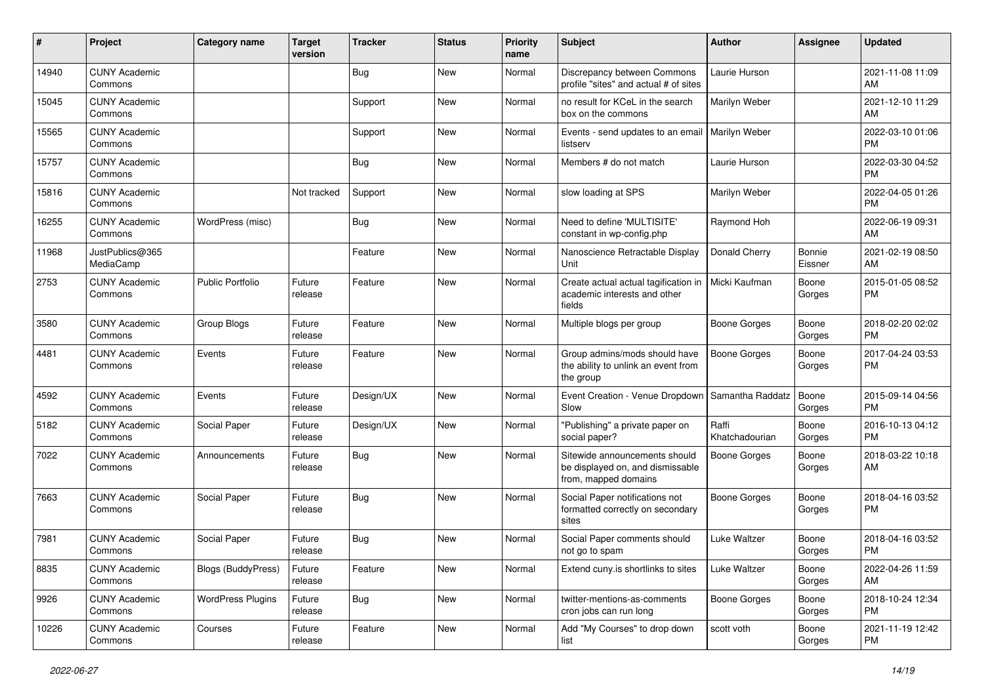| $\sharp$ | Project                         | <b>Category name</b>      | <b>Target</b><br>version | <b>Tracker</b> | <b>Status</b> | <b>Priority</b><br>name | <b>Subject</b>                                                                            | Author                  | <b>Assignee</b>   | <b>Updated</b>                |
|----------|---------------------------------|---------------------------|--------------------------|----------------|---------------|-------------------------|-------------------------------------------------------------------------------------------|-------------------------|-------------------|-------------------------------|
| 14940    | <b>CUNY Academic</b><br>Commons |                           |                          | <b>Bug</b>     | <b>New</b>    | Normal                  | Discrepancy between Commons<br>profile "sites" and actual # of sites                      | Laurie Hurson           |                   | 2021-11-08 11:09<br>AM        |
| 15045    | <b>CUNY Academic</b><br>Commons |                           |                          | Support        | New           | Normal                  | no result for KCeL in the search<br>box on the commons                                    | Marilyn Weber           |                   | 2021-12-10 11:29<br>AM        |
| 15565    | <b>CUNY Academic</b><br>Commons |                           |                          | Support        | New           | Normal                  | Events - send updates to an email<br>listserv                                             | Marilyn Weber           |                   | 2022-03-10 01:06<br><b>PM</b> |
| 15757    | <b>CUNY Academic</b><br>Commons |                           |                          | <b>Bug</b>     | <b>New</b>    | Normal                  | Members # do not match                                                                    | Laurie Hurson           |                   | 2022-03-30 04:52<br><b>PM</b> |
| 15816    | <b>CUNY Academic</b><br>Commons |                           | Not tracked              | Support        | <b>New</b>    | Normal                  | slow loading at SPS                                                                       | Marilyn Weber           |                   | 2022-04-05 01:26<br><b>PM</b> |
| 16255    | <b>CUNY Academic</b><br>Commons | WordPress (misc)          |                          | <b>Bug</b>     | New           | Normal                  | Need to define 'MULTISITE'<br>constant in wp-config.php                                   | Raymond Hoh             |                   | 2022-06-19 09:31<br>AM        |
| 11968    | JustPublics@365<br>MediaCamp    |                           |                          | Feature        | New           | Normal                  | Nanoscience Retractable Display<br>Unit                                                   | Donald Cherry           | Bonnie<br>Eissner | 2021-02-19 08:50<br>AM        |
| 2753     | <b>CUNY Academic</b><br>Commons | <b>Public Portfolio</b>   | Future<br>release        | Feature        | <b>New</b>    | Normal                  | Create actual actual tagification in<br>academic interests and other<br>fields            | Micki Kaufman           | Boone<br>Gorges   | 2015-01-05 08:52<br><b>PM</b> |
| 3580     | <b>CUNY Academic</b><br>Commons | Group Blogs               | Future<br>release        | Feature        | <b>New</b>    | Normal                  | Multiple blogs per group                                                                  | <b>Boone Gorges</b>     | Boone<br>Gorges   | 2018-02-20 02:02<br><b>PM</b> |
| 4481     | <b>CUNY Academic</b><br>Commons | Events                    | Future<br>release        | Feature        | New           | Normal                  | Group admins/mods should have<br>the ability to unlink an event from<br>the group         | <b>Boone Gorges</b>     | Boone<br>Gorges   | 2017-04-24 03:53<br><b>PM</b> |
| 4592     | <b>CUNY Academic</b><br>Commons | Events                    | Future<br>release        | Design/UX      | New           | Normal                  | Event Creation - Venue Dropdown<br>Slow                                                   | Samantha Raddatz        | Boone<br>Gorges   | 2015-09-14 04:56<br><b>PM</b> |
| 5182     | <b>CUNY Academic</b><br>Commons | Social Paper              | Future<br>release        | Design/UX      | New           | Normal                  | "Publishing" a private paper on<br>social paper?                                          | Raffi<br>Khatchadourian | Boone<br>Gorges   | 2016-10-13 04:12<br><b>PM</b> |
| 7022     | <b>CUNY Academic</b><br>Commons | Announcements             | Future<br>release        | <b>Bug</b>     | <b>New</b>    | Normal                  | Sitewide announcements should<br>be displayed on, and dismissable<br>from, mapped domains | Boone Gorges            | Boone<br>Gorges   | 2018-03-22 10:18<br>AM        |
| 7663     | <b>CUNY Academic</b><br>Commons | Social Paper              | Future<br>release        | <b>Bug</b>     | <b>New</b>    | Normal                  | Social Paper notifications not<br>formatted correctly on secondary<br>sites               | <b>Boone Gorges</b>     | Boone<br>Gorges   | 2018-04-16 03:52<br><b>PM</b> |
| 7981     | <b>CUNY Academic</b><br>Commons | Social Paper              | Future<br>release        | <b>Bug</b>     | New           | Normal                  | Social Paper comments should<br>not go to spam                                            | <b>Luke Waltzer</b>     | Boone<br>Gorges   | 2018-04-16 03:52<br><b>PM</b> |
| 8835     | <b>CUNY Academic</b><br>Commons | <b>Blogs (BuddyPress)</b> | Future<br>release        | Feature        | New           | Normal                  | Extend cuny.is shortlinks to sites                                                        | Luke Waltzer            | Boone<br>Gorges   | 2022-04-26 11:59<br>AM        |
| 9926     | <b>CUNY Academic</b><br>Commons | <b>WordPress Plugins</b>  | Future<br>release        | Bug            | New           | Normal                  | twitter-mentions-as-comments<br>cron jobs can run long                                    | <b>Boone Gorges</b>     | Boone<br>Gorges   | 2018-10-24 12:34<br>PM        |
| 10226    | <b>CUNY Academic</b><br>Commons | Courses                   | Future<br>release        | Feature        | New           | Normal                  | Add "My Courses" to drop down<br>list                                                     | scott voth              | Boone<br>Gorges   | 2021-11-19 12:42<br>PM        |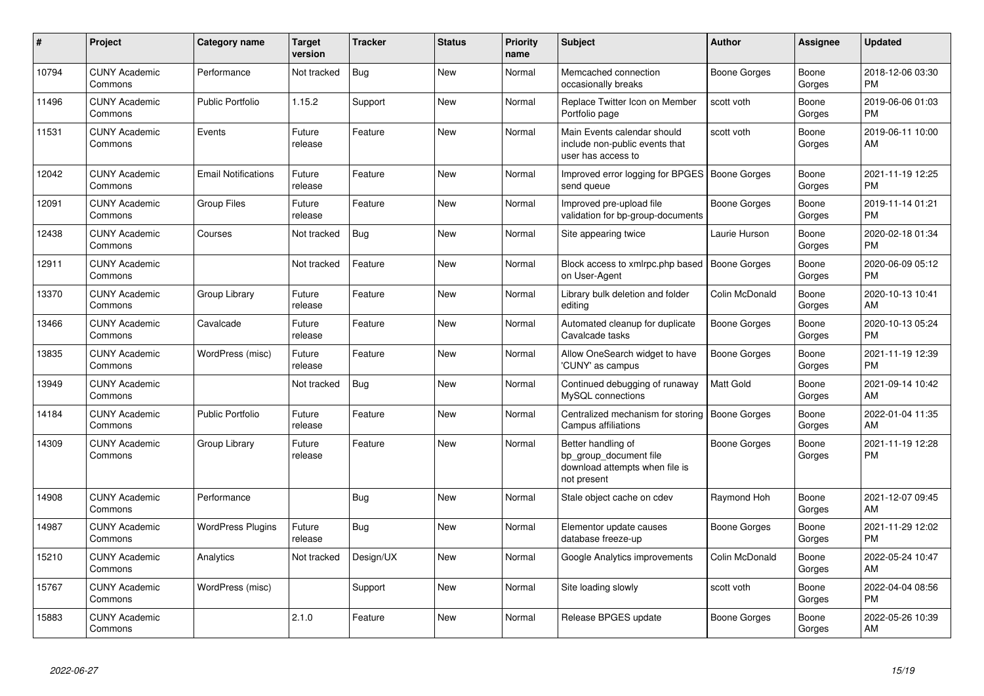| #     | Project                         | <b>Category name</b>       | <b>Target</b><br>version | <b>Tracker</b> | <b>Status</b> | <b>Priority</b><br>name | <b>Subject</b>                                                                                | <b>Author</b>       | Assignee        | <b>Updated</b>                |
|-------|---------------------------------|----------------------------|--------------------------|----------------|---------------|-------------------------|-----------------------------------------------------------------------------------------------|---------------------|-----------------|-------------------------------|
| 10794 | <b>CUNY Academic</b><br>Commons | Performance                | Not tracked              | <b>Bug</b>     | <b>New</b>    | Normal                  | Memcached connection<br>occasionally breaks                                                   | <b>Boone Gorges</b> | Boone<br>Gorges | 2018-12-06 03:30<br><b>PM</b> |
| 11496 | <b>CUNY Academic</b><br>Commons | <b>Public Portfolio</b>    | 1.15.2                   | Support        | <b>New</b>    | Normal                  | Replace Twitter Icon on Member<br>Portfolio page                                              | scott voth          | Boone<br>Gorges | 2019-06-06 01:03<br><b>PM</b> |
| 11531 | <b>CUNY Academic</b><br>Commons | Events                     | Future<br>release        | Feature        | <b>New</b>    | Normal                  | Main Events calendar should<br>include non-public events that<br>user has access to           | scott voth          | Boone<br>Gorges | 2019-06-11 10:00<br>AM        |
| 12042 | <b>CUNY Academic</b><br>Commons | <b>Email Notifications</b> | Future<br>release        | Feature        | New           | Normal                  | Improved error logging for BPGES   Boone Gorges<br>send queue                                 |                     | Boone<br>Gorges | 2021-11-19 12:25<br><b>PM</b> |
| 12091 | <b>CUNY Academic</b><br>Commons | <b>Group Files</b>         | Future<br>release        | Feature        | New           | Normal                  | Improved pre-upload file<br>validation for bp-group-documents                                 | <b>Boone Gorges</b> | Boone<br>Gorges | 2019-11-14 01:21<br><b>PM</b> |
| 12438 | <b>CUNY Academic</b><br>Commons | Courses                    | Not tracked              | <b>Bug</b>     | <b>New</b>    | Normal                  | Site appearing twice                                                                          | Laurie Hurson       | Boone<br>Gorges | 2020-02-18 01:34<br><b>PM</b> |
| 12911 | <b>CUNY Academic</b><br>Commons |                            | Not tracked              | Feature        | <b>New</b>    | Normal                  | Block access to xmlrpc.php based<br>on User-Agent                                             | <b>Boone Gorges</b> | Boone<br>Gorges | 2020-06-09 05:12<br><b>PM</b> |
| 13370 | <b>CUNY Academic</b><br>Commons | Group Library              | Future<br>release        | Feature        | <b>New</b>    | Normal                  | Library bulk deletion and folder<br>editing                                                   | Colin McDonald      | Boone<br>Gorges | 2020-10-13 10:41<br>AM        |
| 13466 | <b>CUNY Academic</b><br>Commons | Cavalcade                  | Future<br>release        | Feature        | <b>New</b>    | Normal                  | Automated cleanup for duplicate<br>Cavalcade tasks                                            | <b>Boone Gorges</b> | Boone<br>Gorges | 2020-10-13 05:24<br><b>PM</b> |
| 13835 | <b>CUNY Academic</b><br>Commons | WordPress (misc)           | Future<br>release        | Feature        | <b>New</b>    | Normal                  | Allow OneSearch widget to have<br>'CUNY' as campus                                            | <b>Boone Gorges</b> | Boone<br>Gorges | 2021-11-19 12:39<br><b>PM</b> |
| 13949 | <b>CUNY Academic</b><br>Commons |                            | Not tracked              | Bug            | <b>New</b>    | Normal                  | Continued debugging of runaway<br>MySQL connections                                           | <b>Matt Gold</b>    | Boone<br>Gorges | 2021-09-14 10:42<br>AM        |
| 14184 | <b>CUNY Academic</b><br>Commons | <b>Public Portfolio</b>    | Future<br>release        | Feature        | <b>New</b>    | Normal                  | Centralized mechanism for storing<br>Campus affiliations                                      | Boone Gorges        | Boone<br>Gorges | 2022-01-04 11:35<br>AM        |
| 14309 | <b>CUNY Academic</b><br>Commons | Group Library              | Future<br>release        | Feature        | <b>New</b>    | Normal                  | Better handling of<br>bp group document file<br>download attempts when file is<br>not present | Boone Gorges        | Boone<br>Gorges | 2021-11-19 12:28<br><b>PM</b> |
| 14908 | <b>CUNY Academic</b><br>Commons | Performance                |                          | Bug            | <b>New</b>    | Normal                  | Stale object cache on cdev                                                                    | Raymond Hoh         | Boone<br>Gorges | 2021-12-07 09:45<br>AM        |
| 14987 | <b>CUNY Academic</b><br>Commons | <b>WordPress Plugins</b>   | Future<br>release        | <b>Bug</b>     | New           | Normal                  | Elementor update causes<br>database freeze-up                                                 | <b>Boone Gorges</b> | Boone<br>Gorges | 2021-11-29 12:02<br><b>PM</b> |
| 15210 | <b>CUNY Academic</b><br>Commons | Analytics                  | Not tracked              | Design/UX      | <b>New</b>    | Normal                  | Google Analytics improvements                                                                 | Colin McDonald      | Boone<br>Gorges | 2022-05-24 10:47<br>AM        |
| 15767 | <b>CUNY Academic</b><br>Commons | WordPress (misc)           |                          | Support        | <b>New</b>    | Normal                  | Site loading slowly                                                                           | scott voth          | Boone<br>Gorges | 2022-04-04 08:56<br><b>PM</b> |
| 15883 | <b>CUNY Academic</b><br>Commons |                            | 2.1.0                    | Feature        | <b>New</b>    | Normal                  | Release BPGES update                                                                          | Boone Gorges        | Boone<br>Gorges | 2022-05-26 10:39<br>AM        |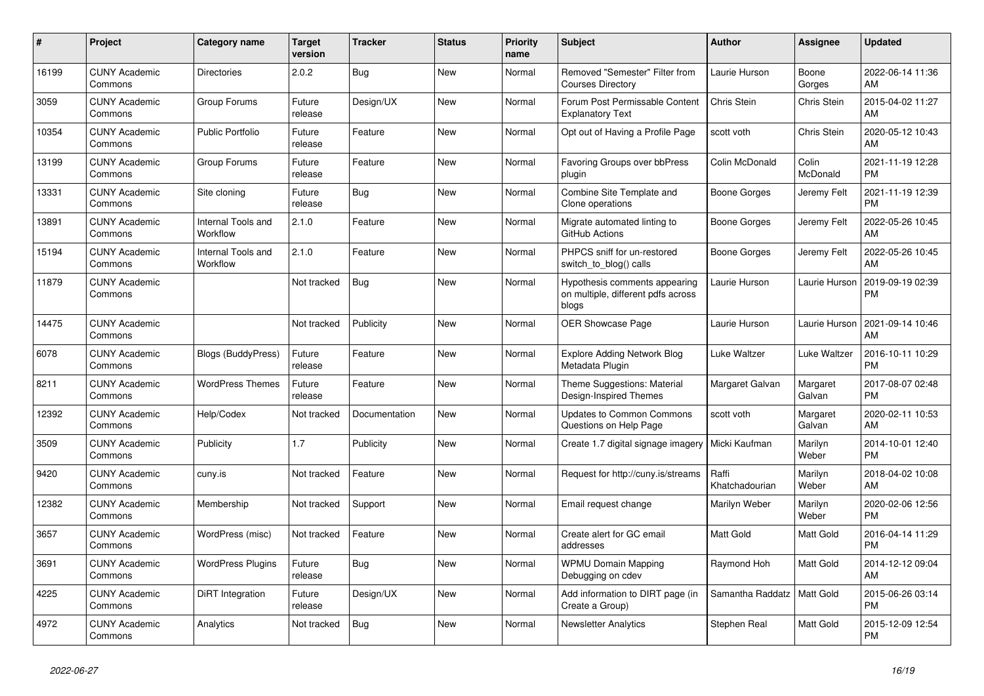| #     | <b>Project</b>                  | Category name                  | <b>Target</b><br>version | <b>Tracker</b> | <b>Status</b> | <b>Priority</b><br>name | <b>Subject</b>                                                               | <b>Author</b>           | <b>Assignee</b>    | <b>Updated</b>                |
|-------|---------------------------------|--------------------------------|--------------------------|----------------|---------------|-------------------------|------------------------------------------------------------------------------|-------------------------|--------------------|-------------------------------|
| 16199 | <b>CUNY Academic</b><br>Commons | <b>Directories</b>             | 2.0.2                    | <b>Bug</b>     | <b>New</b>    | Normal                  | Removed "Semester" Filter from<br><b>Courses Directory</b>                   | Laurie Hurson           | Boone<br>Gorges    | 2022-06-14 11:36<br>AM        |
| 3059  | <b>CUNY Academic</b><br>Commons | Group Forums                   | Future<br>release        | Design/UX      | <b>New</b>    | Normal                  | Forum Post Permissable Content<br><b>Explanatory Text</b>                    | Chris Stein             | Chris Stein        | 2015-04-02 11:27<br>AM        |
| 10354 | <b>CUNY Academic</b><br>Commons | <b>Public Portfolio</b>        | Future<br>release        | Feature        | New           | Normal                  | Opt out of Having a Profile Page                                             | scott voth              | Chris Stein        | 2020-05-12 10:43<br>AM        |
| 13199 | <b>CUNY Academic</b><br>Commons | Group Forums                   | Future<br>release        | Feature        | New           | Normal                  | Favoring Groups over bbPress<br>plugin                                       | Colin McDonald          | Colin<br>McDonald  | 2021-11-19 12:28<br><b>PM</b> |
| 13331 | <b>CUNY Academic</b><br>Commons | Site cloning                   | Future<br>release        | Bug            | <b>New</b>    | Normal                  | Combine Site Template and<br>Clone operations                                | Boone Gorges            | Jeremy Felt        | 2021-11-19 12:39<br><b>PM</b> |
| 13891 | <b>CUNY Academic</b><br>Commons | Internal Tools and<br>Workflow | 2.1.0                    | Feature        | <b>New</b>    | Normal                  | Migrate automated linting to<br>GitHub Actions                               | Boone Gorges            | Jeremy Felt        | 2022-05-26 10:45<br>AM        |
| 15194 | <b>CUNY Academic</b><br>Commons | Internal Tools and<br>Workflow | 2.1.0                    | Feature        | <b>New</b>    | Normal                  | PHPCS sniff for un-restored<br>switch to blog() calls                        | Boone Gorges            | Jeremy Felt        | 2022-05-26 10:45<br>AM        |
| 11879 | <b>CUNY Academic</b><br>Commons |                                | Not tracked              | Bug            | <b>New</b>    | Normal                  | Hypothesis comments appearing<br>on multiple, different pdfs across<br>blogs | Laurie Hurson           | Laurie Hurson      | 2019-09-19 02:39<br><b>PM</b> |
| 14475 | <b>CUNY Academic</b><br>Commons |                                | Not tracked              | Publicity      | <b>New</b>    | Normal                  | OER Showcase Page                                                            | Laurie Hurson           | Laurie Hurson      | 2021-09-14 10:46<br>AM        |
| 6078  | <b>CUNY Academic</b><br>Commons | <b>Blogs (BuddyPress)</b>      | Future<br>release        | Feature        | <b>New</b>    | Normal                  | <b>Explore Adding Network Blog</b><br>Metadata Plugin                        | Luke Waltzer            | Luke Waltzer       | 2016-10-11 10:29<br><b>PM</b> |
| 8211  | <b>CUNY Academic</b><br>Commons | <b>WordPress Themes</b>        | Future<br>release        | Feature        | <b>New</b>    | Normal                  | Theme Suggestions: Material<br>Design-Inspired Themes                        | Margaret Galvan         | Margaret<br>Galvan | 2017-08-07 02:48<br><b>PM</b> |
| 12392 | <b>CUNY Academic</b><br>Commons | Help/Codex                     | Not tracked              | Documentation  | New           | Normal                  | <b>Updates to Common Commons</b><br>Questions on Help Page                   | scott voth              | Margaret<br>Galvan | 2020-02-11 10:53<br>AM        |
| 3509  | <b>CUNY Academic</b><br>Commons | Publicity                      | 1.7                      | Publicity      | New           | Normal                  | Create 1.7 digital signage imagery                                           | Micki Kaufman           | Marilyn<br>Weber   | 2014-10-01 12:40<br><b>PM</b> |
| 9420  | <b>CUNY Academic</b><br>Commons | cuny.is                        | Not tracked              | Feature        | <b>New</b>    | Normal                  | Request for http://cuny.is/streams                                           | Raffi<br>Khatchadourian | Marilyn<br>Weber   | 2018-04-02 10:08<br>AM        |
| 12382 | <b>CUNY Academic</b><br>Commons | Membership                     | Not tracked              | Support        | New           | Normal                  | Email request change                                                         | Marilyn Weber           | Marilyn<br>Weber   | 2020-02-06 12:56<br><b>PM</b> |
| 3657  | <b>CUNY Academic</b><br>Commons | WordPress (misc)               | Not tracked              | Feature        | <b>New</b>    | Normal                  | Create alert for GC email<br>addresses                                       | <b>Matt Gold</b>        | Matt Gold          | 2016-04-14 11:29<br><b>PM</b> |
| 3691  | <b>CUNY Academic</b><br>Commons | <b>WordPress Plugins</b>       | Future<br>release        | <b>Bug</b>     | <b>New</b>    | Normal                  | <b>WPMU Domain Mapping</b><br>Debugging on cdev                              | Raymond Hoh             | Matt Gold          | 2014-12-12 09:04<br>AM        |
| 4225  | <b>CUNY Academic</b><br>Commons | DiRT Integration               | Future<br>release        | Design/UX      | <b>New</b>    | Normal                  | Add information to DIRT page (in<br>Create a Group)                          | Samantha Raddatz        | Matt Gold          | 2015-06-26 03:14<br><b>PM</b> |
| 4972  | <b>CUNY Academic</b><br>Commons | Analytics                      | Not tracked              | Bug            | <b>New</b>    | Normal                  | <b>Newsletter Analytics</b>                                                  | Stephen Real            | Matt Gold          | 2015-12-09 12:54<br><b>PM</b> |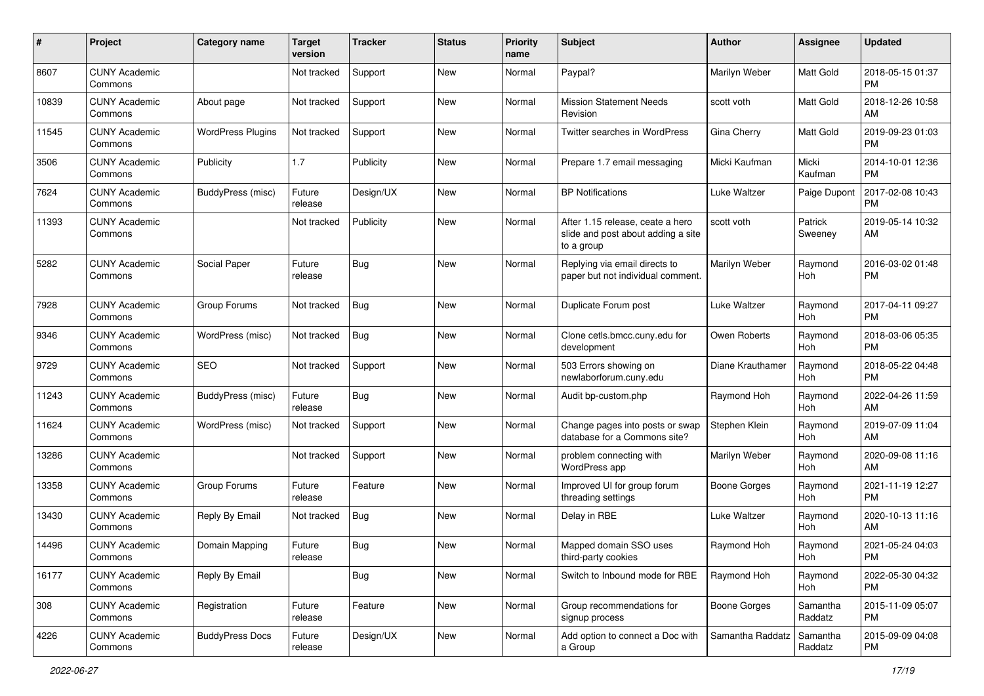| #     | Project                         | <b>Category name</b>     | <b>Target</b><br>version | <b>Tracker</b> | <b>Status</b> | <b>Priority</b><br>name | <b>Subject</b>                                                                       | <b>Author</b>       | <b>Assignee</b>       | <b>Updated</b>                |
|-------|---------------------------------|--------------------------|--------------------------|----------------|---------------|-------------------------|--------------------------------------------------------------------------------------|---------------------|-----------------------|-------------------------------|
| 8607  | <b>CUNY Academic</b><br>Commons |                          | Not tracked              | Support        | <b>New</b>    | Normal                  | Paypal?                                                                              | Marilyn Weber       | Matt Gold             | 2018-05-15 01:37<br><b>PM</b> |
| 10839 | <b>CUNY Academic</b><br>Commons | About page               | Not tracked              | Support        | <b>New</b>    | Normal                  | <b>Mission Statement Needs</b><br>Revision                                           | scott voth          | <b>Matt Gold</b>      | 2018-12-26 10:58<br>AM        |
| 11545 | <b>CUNY Academic</b><br>Commons | <b>WordPress Plugins</b> | Not tracked              | Support        | <b>New</b>    | Normal                  | Twitter searches in WordPress                                                        | Gina Cherry         | <b>Matt Gold</b>      | 2019-09-23 01:03<br><b>PM</b> |
| 3506  | <b>CUNY Academic</b><br>Commons | Publicity                | 1.7                      | Publicity      | <b>New</b>    | Normal                  | Prepare 1.7 email messaging                                                          | Micki Kaufman       | Micki<br>Kaufman      | 2014-10-01 12:36<br><b>PM</b> |
| 7624  | <b>CUNY Academic</b><br>Commons | BuddyPress (misc)        | Future<br>release        | Design/UX      | <b>New</b>    | Normal                  | <b>BP</b> Notifications                                                              | Luke Waltzer        | Paige Dupont          | 2017-02-08 10:43<br><b>PM</b> |
| 11393 | <b>CUNY Academic</b><br>Commons |                          | Not tracked              | Publicity      | <b>New</b>    | Normal                  | After 1.15 release, ceate a hero<br>slide and post about adding a site<br>to a group | scott voth          | Patrick<br>Sweeney    | 2019-05-14 10:32<br>AM        |
| 5282  | <b>CUNY Academic</b><br>Commons | Social Paper             | Future<br>release        | Bug            | <b>New</b>    | Normal                  | Replying via email directs to<br>paper but not individual comment.                   | Marilyn Weber       | Raymond<br>Hoh        | 2016-03-02 01:48<br><b>PM</b> |
| 7928  | <b>CUNY Academic</b><br>Commons | Group Forums             | Not tracked              | Bug            | <b>New</b>    | Normal                  | Duplicate Forum post                                                                 | Luke Waltzer        | Raymond<br><b>Hoh</b> | 2017-04-11 09:27<br><b>PM</b> |
| 9346  | <b>CUNY Academic</b><br>Commons | WordPress (misc)         | Not tracked              | Bug            | <b>New</b>    | Normal                  | Clone cetls.bmcc.cuny.edu for<br>development                                         | Owen Roberts        | Raymond<br>Hoh        | 2018-03-06 05:35<br><b>PM</b> |
| 9729  | <b>CUNY Academic</b><br>Commons | <b>SEO</b>               | Not tracked              | Support        | New           | Normal                  | 503 Errors showing on<br>newlaborforum.cuny.edu                                      | Diane Krauthamer    | Raymond<br>Hoh        | 2018-05-22 04:48<br><b>PM</b> |
| 11243 | <b>CUNY Academic</b><br>Commons | BuddyPress (misc)        | Future<br>release        | Bug            | <b>New</b>    | Normal                  | Audit bp-custom.php                                                                  | Raymond Hoh         | Raymond<br>Hoh        | 2022-04-26 11:59<br>AM        |
| 11624 | <b>CUNY Academic</b><br>Commons | WordPress (misc)         | Not tracked              | Support        | <b>New</b>    | Normal                  | Change pages into posts or swap<br>database for a Commons site?                      | Stephen Klein       | Raymond<br>Hoh        | 2019-07-09 11:04<br>AM        |
| 13286 | <b>CUNY Academic</b><br>Commons |                          | Not tracked              | Support        | <b>New</b>    | Normal                  | problem connecting with<br>WordPress app                                             | Marilyn Weber       | Raymond<br>Hoh        | 2020-09-08 11:16<br>AM        |
| 13358 | <b>CUNY Academic</b><br>Commons | Group Forums             | Future<br>release        | Feature        | <b>New</b>    | Normal                  | Improved UI for group forum<br>threading settings                                    | Boone Gorges        | Raymond<br>Hoh        | 2021-11-19 12:27<br><b>PM</b> |
| 13430 | <b>CUNY Academic</b><br>Commons | Reply By Email           | Not tracked              | Bug            | <b>New</b>    | Normal                  | Delay in RBE                                                                         | Luke Waltzer        | Raymond<br>Hoh        | 2020-10-13 11:16<br>AM        |
| 14496 | <b>CUNY Academic</b><br>Commons | Domain Mapping           | Future<br>release        | Bug            | <b>New</b>    | Normal                  | Mapped domain SSO uses<br>third-party cookies                                        | Raymond Hoh         | Raymond<br>Hoh        | 2021-05-24 04:03<br>PM        |
| 16177 | <b>CUNY Academic</b><br>Commons | Reply By Email           |                          | Bug            | New           | Normal                  | Switch to Inbound mode for RBE                                                       | Raymond Hoh         | Raymond<br>Hoh        | 2022-05-30 04:32<br>PM        |
| 308   | <b>CUNY Academic</b><br>Commons | Registration             | Future<br>release        | Feature        | New           | Normal                  | Group recommendations for<br>signup process                                          | <b>Boone Gorges</b> | Samantha<br>Raddatz   | 2015-11-09 05:07<br>PM        |
| 4226  | <b>CUNY Academic</b><br>Commons | <b>BuddyPress Docs</b>   | Future<br>release        | Design/UX      | New           | Normal                  | Add option to connect a Doc with<br>a Group                                          | Samantha Raddatz    | Samantha<br>Raddatz   | 2015-09-09 04:08<br>PM        |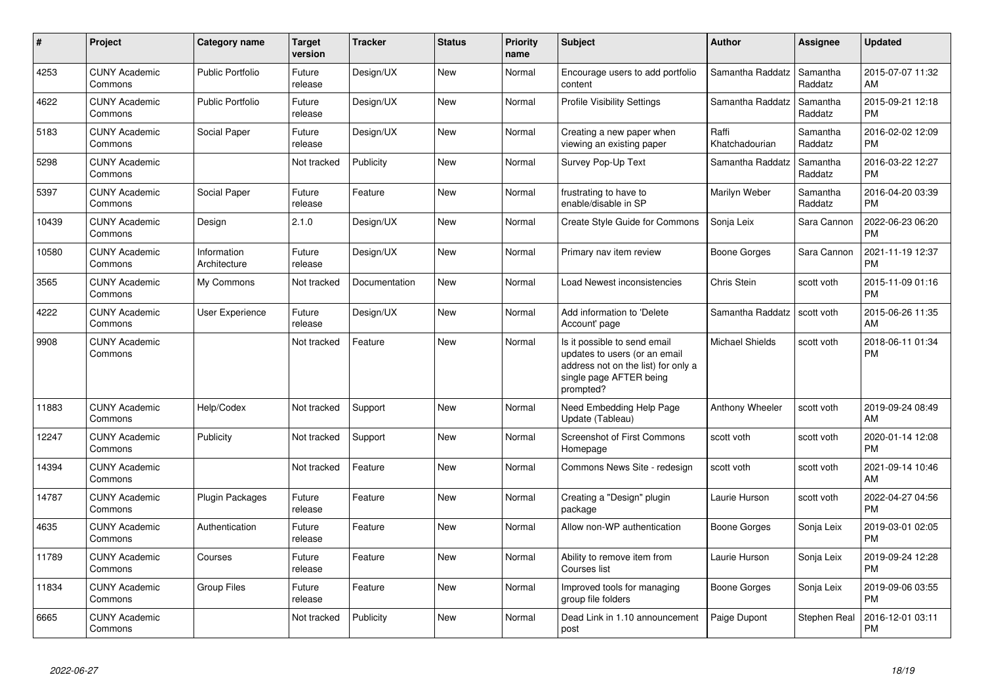| #     | <b>Project</b>                  | <b>Category name</b>        | <b>Target</b><br>version | <b>Tracker</b> | <b>Status</b> | <b>Priority</b><br>name | <b>Subject</b>                                                                                                                               | <b>Author</b>           | <b>Assignee</b>     | <b>Updated</b>                |
|-------|---------------------------------|-----------------------------|--------------------------|----------------|---------------|-------------------------|----------------------------------------------------------------------------------------------------------------------------------------------|-------------------------|---------------------|-------------------------------|
| 4253  | <b>CUNY Academic</b><br>Commons | <b>Public Portfolio</b>     | Future<br>release        | Design/UX      | <b>New</b>    | Normal                  | Encourage users to add portfolio<br>content                                                                                                  | Samantha Raddatz        | Samantha<br>Raddatz | 2015-07-07 11:32<br>AM        |
| 4622  | <b>CUNY Academic</b><br>Commons | <b>Public Portfolio</b>     | Future<br>release        | Design/UX      | <b>New</b>    | Normal                  | <b>Profile Visibility Settings</b>                                                                                                           | Samantha Raddatz        | Samantha<br>Raddatz | 2015-09-21 12:18<br><b>PM</b> |
| 5183  | <b>CUNY Academic</b><br>Commons | Social Paper                | Future<br>release        | Design/UX      | <b>New</b>    | Normal                  | Creating a new paper when<br>viewing an existing paper                                                                                       | Raffi<br>Khatchadourian | Samantha<br>Raddatz | 2016-02-02 12:09<br><b>PM</b> |
| 5298  | <b>CUNY Academic</b><br>Commons |                             | Not tracked              | Publicity      | New           | Normal                  | Survey Pop-Up Text                                                                                                                           | Samantha Raddatz        | Samantha<br>Raddatz | 2016-03-22 12:27<br><b>PM</b> |
| 5397  | <b>CUNY Academic</b><br>Commons | Social Paper                | Future<br>release        | Feature        | New           | Normal                  | frustrating to have to<br>enable/disable in SP                                                                                               | Marilyn Weber           | Samantha<br>Raddatz | 2016-04-20 03:39<br><b>PM</b> |
| 10439 | <b>CUNY Academic</b><br>Commons | Design                      | 2.1.0                    | Design/UX      | New           | Normal                  | Create Style Guide for Commons                                                                                                               | Sonja Leix              | Sara Cannon         | 2022-06-23 06:20<br><b>PM</b> |
| 10580 | <b>CUNY Academic</b><br>Commons | Information<br>Architecture | Future<br>release        | Design/UX      | <b>New</b>    | Normal                  | Primary nav item review                                                                                                                      | Boone Gorges            | Sara Cannon         | 2021-11-19 12:37<br><b>PM</b> |
| 3565  | <b>CUNY Academic</b><br>Commons | My Commons                  | Not tracked              | Documentation  | <b>New</b>    | Normal                  | Load Newest inconsistencies                                                                                                                  | Chris Stein             | scott voth          | 2015-11-09 01:16<br><b>PM</b> |
| 4222  | <b>CUNY Academic</b><br>Commons | User Experience             | Future<br>release        | Design/UX      | New           | Normal                  | Add information to 'Delete<br>Account' page                                                                                                  | Samantha Raddatz        | scott voth          | 2015-06-26 11:35<br>AM        |
| 9908  | <b>CUNY Academic</b><br>Commons |                             | Not tracked              | Feature        | New           | Normal                  | Is it possible to send email<br>updates to users (or an email<br>address not on the list) for only a<br>single page AFTER being<br>prompted? | <b>Michael Shields</b>  | scott voth          | 2018-06-11 01:34<br><b>PM</b> |
| 11883 | <b>CUNY Academic</b><br>Commons | Help/Codex                  | Not tracked              | Support        | New           | Normal                  | Need Embedding Help Page<br>Update (Tableau)                                                                                                 | Anthony Wheeler         | scott voth          | 2019-09-24 08:49<br>AM        |
| 12247 | <b>CUNY Academic</b><br>Commons | Publicity                   | Not tracked              | Support        | New           | Normal                  | Screenshot of First Commons<br>Homepage                                                                                                      | scott voth              | scott voth          | 2020-01-14 12:08<br><b>PM</b> |
| 14394 | <b>CUNY Academic</b><br>Commons |                             | Not tracked              | Feature        | New           | Normal                  | Commons News Site - redesign                                                                                                                 | scott voth              | scott voth          | 2021-09-14 10:46<br>AM        |
| 14787 | <b>CUNY Academic</b><br>Commons | <b>Plugin Packages</b>      | Future<br>release        | Feature        | <b>New</b>    | Normal                  | Creating a "Design" plugin<br>package                                                                                                        | Laurie Hurson           | scott voth          | 2022-04-27 04:56<br><b>PM</b> |
| 4635  | <b>CUNY Academic</b><br>Commons | Authentication              | Future<br>release        | Feature        | <b>New</b>    | Normal                  | Allow non-WP authentication                                                                                                                  | Boone Gorges            | Sonja Leix          | 2019-03-01 02:05<br><b>PM</b> |
| 11789 | <b>CUNY Academic</b><br>Commons | Courses                     | Future<br>release        | Feature        | <b>New</b>    | Normal                  | Ability to remove item from<br>Courses list                                                                                                  | Laurie Hurson           | Sonja Leix          | 2019-09-24 12:28<br><b>PM</b> |
| 11834 | <b>CUNY Academic</b><br>Commons | <b>Group Files</b>          | Future<br>release        | Feature        | <b>New</b>    | Normal                  | Improved tools for managing<br>group file folders                                                                                            | Boone Gorges            | Sonja Leix          | 2019-09-06 03:55<br><b>PM</b> |
| 6665  | <b>CUNY Academic</b><br>Commons |                             | Not tracked              | Publicity      | <b>New</b>    | Normal                  | Dead Link in 1.10 announcement<br>post                                                                                                       | Paige Dupont            | Stephen Real        | 2016-12-01 03:11<br><b>PM</b> |